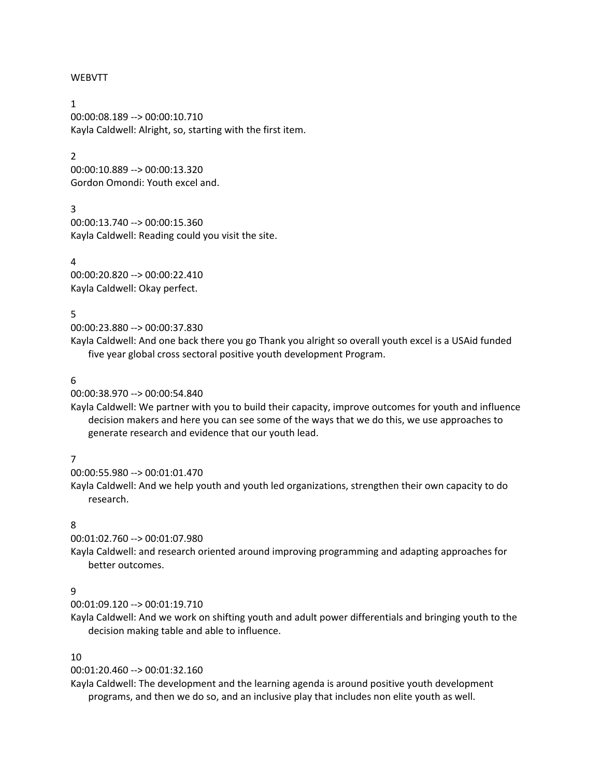#### WEBVTT

1 00:00:08.189 --> 00:00:10.710 Kayla Caldwell: Alright, so, starting with the first item.

#### 2

00:00:10.889 --> 00:00:13.320 Gordon Omondi: Youth excel and.

#### 3

00:00:13.740 --> 00:00:15.360 Kayla Caldwell: Reading could you visit the site.

4 00:00:20.820 --> 00:00:22.410 Kayla Caldwell: Okay perfect.

#### 5

00:00:23.880 --> 00:00:37.830

Kayla Caldwell: And one back there you go Thank you alright so overall youth excel is a USAid funded five year global cross sectoral positive youth development Program.

#### 6

00:00:38.970 --> 00:00:54.840

Kayla Caldwell: We partner with you to build their capacity, improve outcomes for youth and influence decision makers and here you can see some of the ways that we do this, we use approaches to generate research and evidence that our youth lead.

### 7

00:00:55.980 --> 00:01:01.470

Kayla Caldwell: And we help youth and youth led organizations, strengthen their own capacity to do research.

### 8

00:01:02.760 --> 00:01:07.980

Kayla Caldwell: and research oriented around improving programming and adapting approaches for better outcomes.

### 9

00:01:09.120 --> 00:01:19.710

Kayla Caldwell: And we work on shifting youth and adult power differentials and bringing youth to the decision making table and able to influence.

#### 10

#### 00:01:20.460 --> 00:01:32.160

Kayla Caldwell: The development and the learning agenda is around positive youth development programs, and then we do so, and an inclusive play that includes non elite youth as well.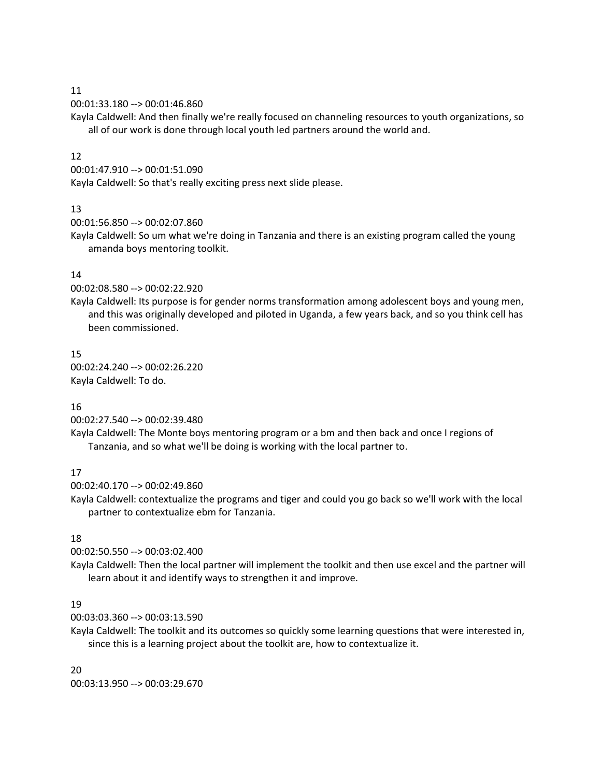00:01:33.180 --> 00:01:46.860

Kayla Caldwell: And then finally we're really focused on channeling resources to youth organizations, so all of our work is done through local youth led partners around the world and.

### 12

### 00:01:47.910 --> 00:01:51.090

Kayla Caldwell: So that's really exciting press next slide please.

## 13

00:01:56.850 --> 00:02:07.860

Kayla Caldwell: So um what we're doing in Tanzania and there is an existing program called the young amanda boys mentoring toolkit.

# 14

00:02:08.580 --> 00:02:22.920

Kayla Caldwell: Its purpose is for gender norms transformation among adolescent boys and young men, and this was originally developed and piloted in Uganda, a few years back, and so you think cell has been commissioned.

# 15

00:02:24.240 --> 00:02:26.220 Kayla Caldwell: To do.

# 16

00:02:27.540 --> 00:02:39.480

Kayla Caldwell: The Monte boys mentoring program or a bm and then back and once I regions of Tanzania, and so what we'll be doing is working with the local partner to.

# 17

00:02:40.170 --> 00:02:49.860

Kayla Caldwell: contextualize the programs and tiger and could you go back so we'll work with the local partner to contextualize ebm for Tanzania.

# 18

00:02:50.550 --> 00:03:02.400

Kayla Caldwell: Then the local partner will implement the toolkit and then use excel and the partner will learn about it and identify ways to strengthen it and improve.

# 19

00:03:03.360 --> 00:03:13.590

Kayla Caldwell: The toolkit and its outcomes so quickly some learning questions that were interested in, since this is a learning project about the toolkit are, how to contextualize it.

20 00:03:13.950 --> 00:03:29.670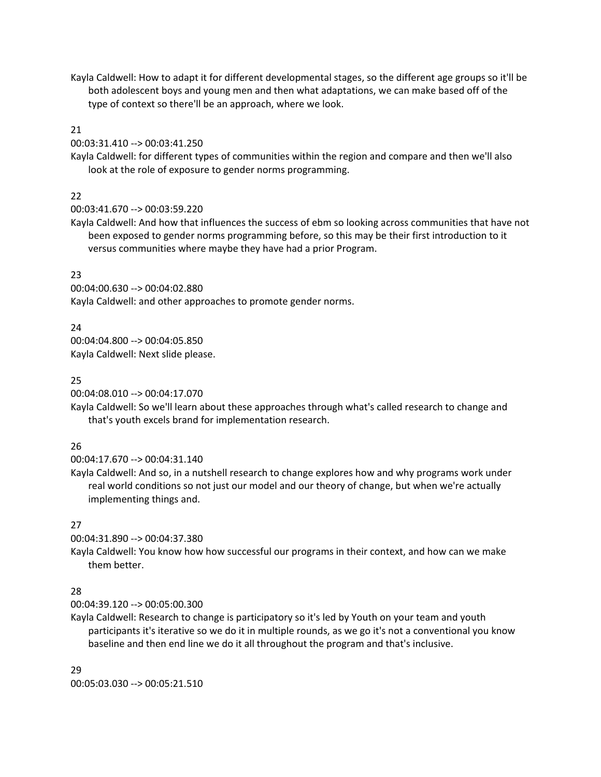Kayla Caldwell: How to adapt it for different developmental stages, so the different age groups so it'll be both adolescent boys and young men and then what adaptations, we can make based off of the type of context so there'll be an approach, where we look.

## 21

### 00:03:31.410 --> 00:03:41.250

Kayla Caldwell: for different types of communities within the region and compare and then we'll also look at the role of exposure to gender norms programming.

# 22

### 00:03:41.670 --> 00:03:59.220

Kayla Caldwell: And how that influences the success of ebm so looking across communities that have not been exposed to gender norms programming before, so this may be their first introduction to it versus communities where maybe they have had a prior Program.

## 23

00:04:00.630 --> 00:04:02.880 Kayla Caldwell: and other approaches to promote gender norms.

# 24

00:04:04.800 --> 00:04:05.850 Kayla Caldwell: Next slide please.

# 25

00:04:08.010 --> 00:04:17.070

Kayla Caldwell: So we'll learn about these approaches through what's called research to change and that's youth excels brand for implementation research.

# 26

00:04:17.670 --> 00:04:31.140

Kayla Caldwell: And so, in a nutshell research to change explores how and why programs work under real world conditions so not just our model and our theory of change, but when we're actually implementing things and.

# 27

00:04:31.890 --> 00:04:37.380

Kayla Caldwell: You know how how successful our programs in their context, and how can we make them better.

# 28

00:04:39.120 --> 00:05:00.300

Kayla Caldwell: Research to change is participatory so it's led by Youth on your team and youth participants it's iterative so we do it in multiple rounds, as we go it's not a conventional you know baseline and then end line we do it all throughout the program and that's inclusive.

### 29

00:05:03.030 --> 00:05:21.510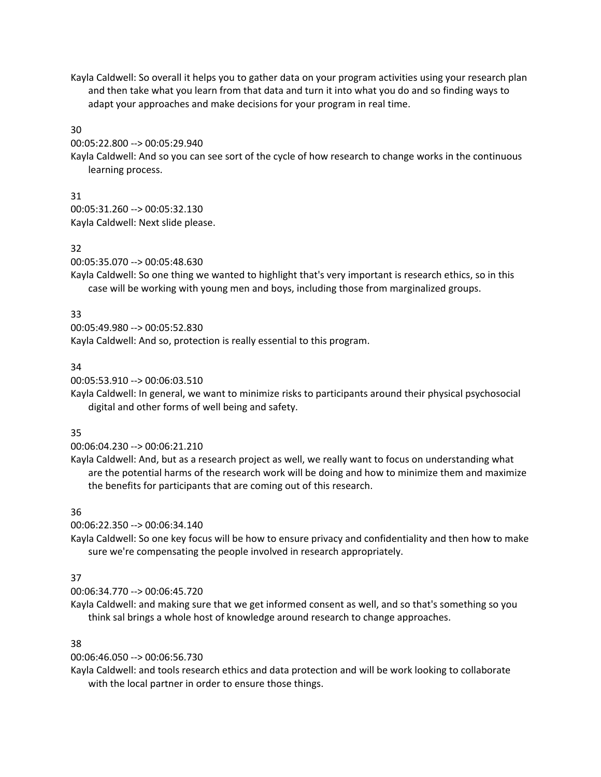Kayla Caldwell: So overall it helps you to gather data on your program activities using your research plan and then take what you learn from that data and turn it into what you do and so finding ways to adapt your approaches and make decisions for your program in real time.

### 30

00:05:22.800 --> 00:05:29.940

Kayla Caldwell: And so you can see sort of the cycle of how research to change works in the continuous learning process.

# 31

00:05:31.260 --> 00:05:32.130 Kayla Caldwell: Next slide please.

## 32

00:05:35.070 --> 00:05:48.630

Kayla Caldwell: So one thing we wanted to highlight that's very important is research ethics, so in this case will be working with young men and boys, including those from marginalized groups.

## 33

00:05:49.980 --> 00:05:52.830

Kayla Caldwell: And so, protection is really essential to this program.

## 34

00:05:53.910 --> 00:06:03.510

Kayla Caldwell: In general, we want to minimize risks to participants around their physical psychosocial digital and other forms of well being and safety.

### 35

00:06:04.230 --> 00:06:21.210

Kayla Caldwell: And, but as a research project as well, we really want to focus on understanding what are the potential harms of the research work will be doing and how to minimize them and maximize the benefits for participants that are coming out of this research.

# 36

00:06:22.350 --> 00:06:34.140

Kayla Caldwell: So one key focus will be how to ensure privacy and confidentiality and then how to make sure we're compensating the people involved in research appropriately.

# 37

00:06:34.770 --> 00:06:45.720

Kayla Caldwell: and making sure that we get informed consent as well, and so that's something so you think sal brings a whole host of knowledge around research to change approaches.

### 38

00:06:46.050 --> 00:06:56.730

Kayla Caldwell: and tools research ethics and data protection and will be work looking to collaborate with the local partner in order to ensure those things.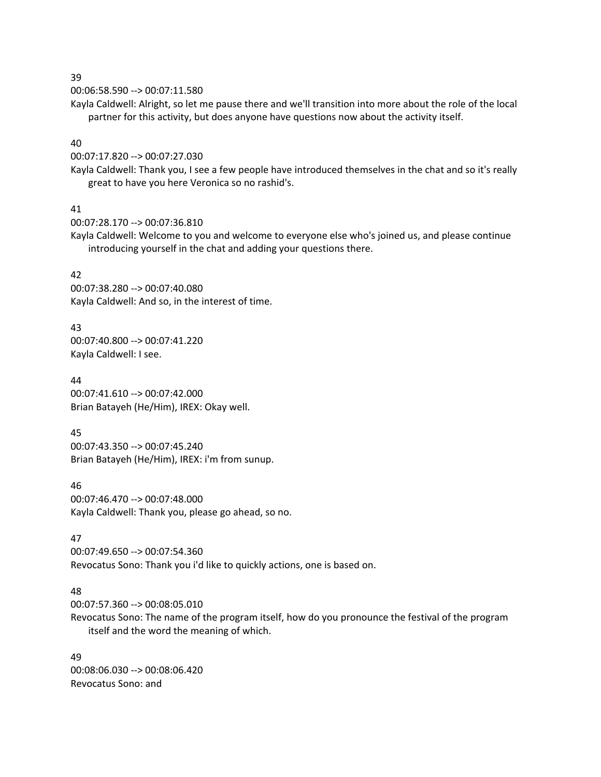00:06:58.590 --> 00:07:11.580

Kayla Caldwell: Alright, so let me pause there and we'll transition into more about the role of the local partner for this activity, but does anyone have questions now about the activity itself.

### 40

00:07:17.820 --> 00:07:27.030

Kayla Caldwell: Thank you, I see a few people have introduced themselves in the chat and so it's really great to have you here Veronica so no rashid's.

## 41

00:07:28.170 --> 00:07:36.810

Kayla Caldwell: Welcome to you and welcome to everyone else who's joined us, and please continue introducing yourself in the chat and adding your questions there.

## 42

00:07:38.280 --> 00:07:40.080 Kayla Caldwell: And so, in the interest of time.

# 43

00:07:40.800 --> 00:07:41.220 Kayla Caldwell: I see.

44 00:07:41.610 --> 00:07:42.000 Brian Batayeh (He/Him), IREX: Okay well.

# 45

00:07:43.350 --> 00:07:45.240 Brian Batayeh (He/Him), IREX: i'm from sunup.

# 46

00:07:46.470 --> 00:07:48.000 Kayla Caldwell: Thank you, please go ahead, so no.

# 47

00:07:49.650 --> 00:07:54.360 Revocatus Sono: Thank you i'd like to quickly actions, one is based on.

# 48

00:07:57.360 --> 00:08:05.010

Revocatus Sono: The name of the program itself, how do you pronounce the festival of the program itself and the word the meaning of which.

49 00:08:06.030 --> 00:08:06.420 Revocatus Sono: and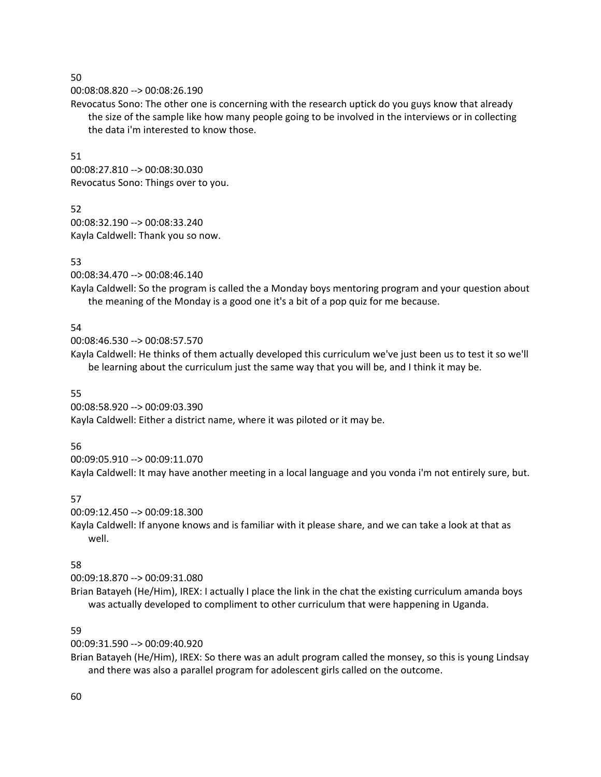#### 00:08:08.820 --> 00:08:26.190

Revocatus Sono: The other one is concerning with the research uptick do you guys know that already the size of the sample like how many people going to be involved in the interviews or in collecting the data i'm interested to know those.

#### 51

00:08:27.810 --> 00:08:30.030 Revocatus Sono: Things over to you.

### 52

00:08:32.190 --> 00:08:33.240 Kayla Caldwell: Thank you so now.

## 53

00:08:34.470 --> 00:08:46.140

Kayla Caldwell: So the program is called the a Monday boys mentoring program and your question about the meaning of the Monday is a good one it's a bit of a pop quiz for me because.

### 54

00:08:46.530 --> 00:08:57.570

Kayla Caldwell: He thinks of them actually developed this curriculum we've just been us to test it so we'll be learning about the curriculum just the same way that you will be, and I think it may be.

### 55

00:08:58.920 --> 00:09:03.390 Kayla Caldwell: Either a district name, where it was piloted or it may be.

### 56

00:09:05.910 --> 00:09:11.070

Kayla Caldwell: It may have another meeting in a local language and you vonda i'm not entirely sure, but.

# 57

00:09:12.450 --> 00:09:18.300

Kayla Caldwell: If anyone knows and is familiar with it please share, and we can take a look at that as well.

# 58

00:09:18.870 --> 00:09:31.080

Brian Batayeh (He/Him), IREX: I actually I place the link in the chat the existing curriculum amanda boys was actually developed to compliment to other curriculum that were happening in Uganda.

# 59

00:09:31.590 --> 00:09:40.920

Brian Batayeh (He/Him), IREX: So there was an adult program called the monsey, so this is young Lindsay and there was also a parallel program for adolescent girls called on the outcome.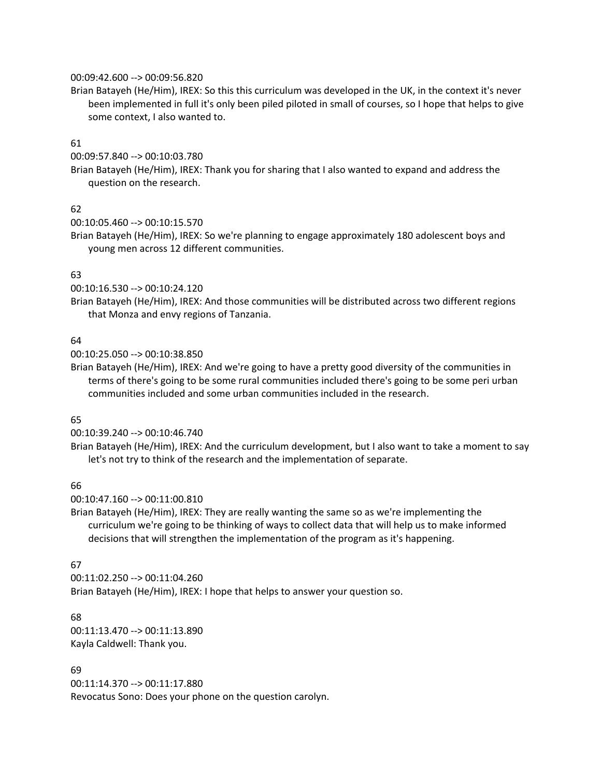#### 00:09:42.600 --> 00:09:56.820

Brian Batayeh (He/Him), IREX: So this this curriculum was developed in the UK, in the context it's never been implemented in full it's only been piled piloted in small of courses, so I hope that helps to give some context, I also wanted to.

### 61

00:09:57.840 --> 00:10:03.780

Brian Batayeh (He/Him), IREX: Thank you for sharing that I also wanted to expand and address the question on the research.

# 62

```
00:10:05.460 --> 00:10:15.570
```
Brian Batayeh (He/Him), IREX: So we're planning to engage approximately 180 adolescent boys and young men across 12 different communities.

# 63

00:10:16.530 --> 00:10:24.120

Brian Batayeh (He/Him), IREX: And those communities will be distributed across two different regions that Monza and envy regions of Tanzania.

## 64

00:10:25.050 --> 00:10:38.850

Brian Batayeh (He/Him), IREX: And we're going to have a pretty good diversity of the communities in terms of there's going to be some rural communities included there's going to be some peri urban communities included and some urban communities included in the research.

# 65

00:10:39.240 --> 00:10:46.740

Brian Batayeh (He/Him), IREX: And the curriculum development, but I also want to take a moment to say let's not try to think of the research and the implementation of separate.

# 66

00:10:47.160 --> 00:11:00.810

Brian Batayeh (He/Him), IREX: They are really wanting the same so as we're implementing the curriculum we're going to be thinking of ways to collect data that will help us to make informed decisions that will strengthen the implementation of the program as it's happening.

### 67

00:11:02.250 --> 00:11:04.260 Brian Batayeh (He/Him), IREX: I hope that helps to answer your question so.

### 68

00:11:13.470 --> 00:11:13.890 Kayla Caldwell: Thank you.

### 69

00:11:14.370 --> 00:11:17.880 Revocatus Sono: Does your phone on the question carolyn.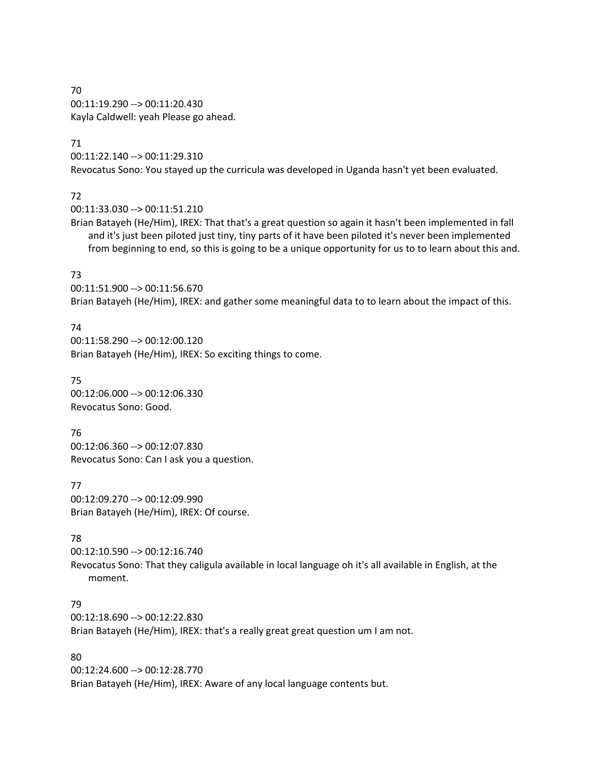70 00:11:19.290 --> 00:11:20.430 Kayla Caldwell: yeah Please go ahead.

#### 71

00:11:22.140 --> 00:11:29.310

Revocatus Sono: You stayed up the curricula was developed in Uganda hasn't yet been evaluated.

# 72

00:11:33.030 --> 00:11:51.210

Brian Batayeh (He/Him), IREX: That that's a great question so again it hasn't been implemented in fall and it's just been piloted just tiny, tiny parts of it have been piloted it's never been implemented from beginning to end, so this is going to be a unique opportunity for us to to learn about this and.

# 73

00:11:51.900 --> 00:11:56.670 Brian Batayeh (He/Him), IREX: and gather some meaningful data to to learn about the impact of this.

# 74

00:11:58.290 --> 00:12:00.120 Brian Batayeh (He/Him), IREX: So exciting things to come.

## 75

00:12:06.000 --> 00:12:06.330 Revocatus Sono: Good.

76 00:12:06.360 --> 00:12:07.830 Revocatus Sono: Can I ask you a question.

# 77 00:12:09.270 --> 00:12:09.990

Brian Batayeh (He/Him), IREX: Of course.

# 78

00:12:10.590 --> 00:12:16.740 Revocatus Sono: That they caligula available in local language oh it's all available in English, at the moment.

# 79

00:12:18.690 --> 00:12:22.830

Brian Batayeh (He/Him), IREX: that's a really great great question um I am not.

# 80

00:12:24.600 --> 00:12:28.770 Brian Batayeh (He/Him), IREX: Aware of any local language contents but.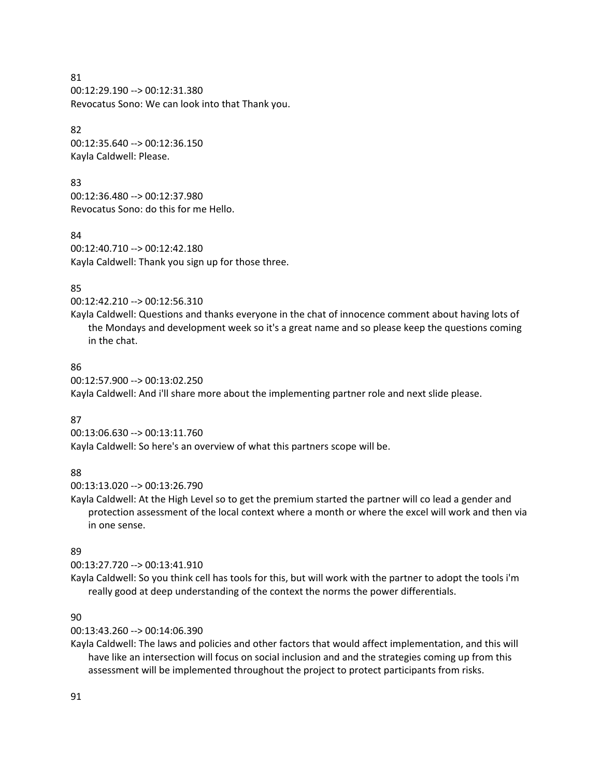81 00:12:29.190 --> 00:12:31.380 Revocatus Sono: We can look into that Thank you.

82 00:12:35.640 --> 00:12:36.150 Kayla Caldwell: Please.

83 00:12:36.480 --> 00:12:37.980 Revocatus Sono: do this for me Hello.

84 00:12:40.710 --> 00:12:42.180 Kayla Caldwell: Thank you sign up for those three.

#### 85

```
00:12:42.210 --> 00:12:56.310
```
Kayla Caldwell: Questions and thanks everyone in the chat of innocence comment about having lots of the Mondays and development week so it's a great name and so please keep the questions coming in the chat.

### 86

00:12:57.900 --> 00:13:02.250

Kayla Caldwell: And i'll share more about the implementing partner role and next slide please.

### 87

00:13:06.630 --> 00:13:11.760 Kayla Caldwell: So here's an overview of what this partners scope will be.

### 88

00:13:13.020 --> 00:13:26.790

Kayla Caldwell: At the High Level so to get the premium started the partner will co lead a gender and protection assessment of the local context where a month or where the excel will work and then via in one sense.

### 89

00:13:27.720 --> 00:13:41.910

Kayla Caldwell: So you think cell has tools for this, but will work with the partner to adopt the tools i'm really good at deep understanding of the context the norms the power differentials.

### 90

00:13:43.260 --> 00:14:06.390

Kayla Caldwell: The laws and policies and other factors that would affect implementation, and this will have like an intersection will focus on social inclusion and and the strategies coming up from this assessment will be implemented throughout the project to protect participants from risks.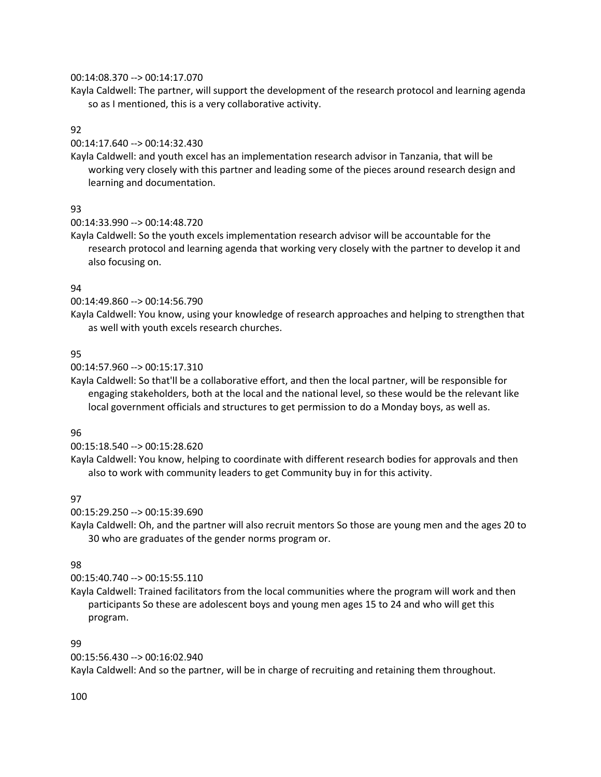#### 00:14:08.370 --> 00:14:17.070

Kayla Caldwell: The partner, will support the development of the research protocol and learning agenda so as I mentioned, this is a very collaborative activity.

### 92

00:14:17.640 --> 00:14:32.430

Kayla Caldwell: and youth excel has an implementation research advisor in Tanzania, that will be working very closely with this partner and leading some of the pieces around research design and learning and documentation.

# 93

00:14:33.990 --> 00:14:48.720

Kayla Caldwell: So the youth excels implementation research advisor will be accountable for the research protocol and learning agenda that working very closely with the partner to develop it and also focusing on.

## 94

00:14:49.860 --> 00:14:56.790

Kayla Caldwell: You know, using your knowledge of research approaches and helping to strengthen that as well with youth excels research churches.

## 95

00:14:57.960 --> 00:15:17.310

Kayla Caldwell: So that'll be a collaborative effort, and then the local partner, will be responsible for engaging stakeholders, both at the local and the national level, so these would be the relevant like local government officials and structures to get permission to do a Monday boys, as well as.

### 96

00:15:18.540 --> 00:15:28.620

Kayla Caldwell: You know, helping to coordinate with different research bodies for approvals and then also to work with community leaders to get Community buy in for this activity.

# 97

00:15:29.250 --> 00:15:39.690

Kayla Caldwell: Oh, and the partner will also recruit mentors So those are young men and the ages 20 to 30 who are graduates of the gender norms program or.

### 98

00:15:40.740 --> 00:15:55.110

Kayla Caldwell: Trained facilitators from the local communities where the program will work and then participants So these are adolescent boys and young men ages 15 to 24 and who will get this program.

### 99

00:15:56.430 --> 00:16:02.940

Kayla Caldwell: And so the partner, will be in charge of recruiting and retaining them throughout.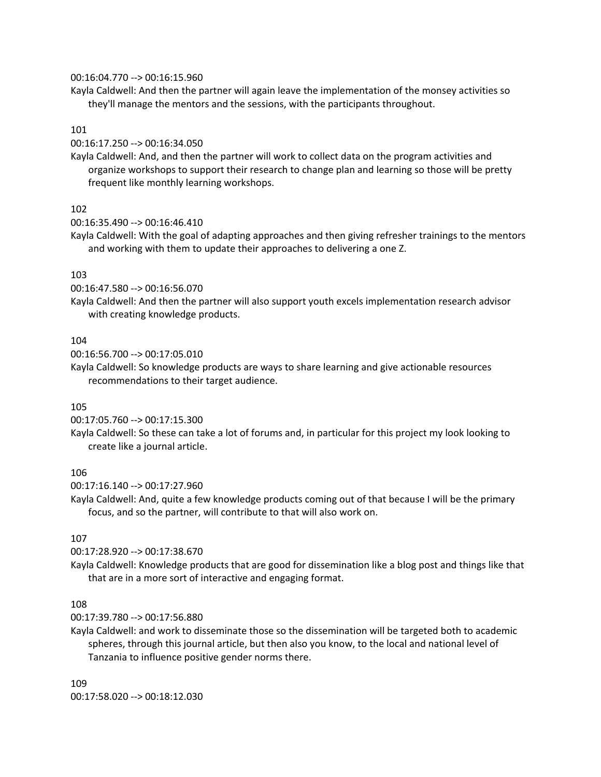#### 00:16:04.770 --> 00:16:15.960

Kayla Caldwell: And then the partner will again leave the implementation of the monsey activities so they'll manage the mentors and the sessions, with the participants throughout.

### 101

00:16:17.250 --> 00:16:34.050

Kayla Caldwell: And, and then the partner will work to collect data on the program activities and organize workshops to support their research to change plan and learning so those will be pretty frequent like monthly learning workshops.

## 102

00:16:35.490 --> 00:16:46.410

Kayla Caldwell: With the goal of adapting approaches and then giving refresher trainings to the mentors and working with them to update their approaches to delivering a one Z.

# 103

00:16:47.580 --> 00:16:56.070

Kayla Caldwell: And then the partner will also support youth excels implementation research advisor with creating knowledge products.

## 104

00:16:56.700 --> 00:17:05.010

Kayla Caldwell: So knowledge products are ways to share learning and give actionable resources recommendations to their target audience.

### 105

00:17:05.760 --> 00:17:15.300

Kayla Caldwell: So these can take a lot of forums and, in particular for this project my look looking to create like a journal article.

### 106

00:17:16.140 --> 00:17:27.960

Kayla Caldwell: And, quite a few knowledge products coming out of that because I will be the primary focus, and so the partner, will contribute to that will also work on.

### 107

00:17:28.920 --> 00:17:38.670

Kayla Caldwell: Knowledge products that are good for dissemination like a blog post and things like that that are in a more sort of interactive and engaging format.

### 108

00:17:39.780 --> 00:17:56.880

Kayla Caldwell: and work to disseminate those so the dissemination will be targeted both to academic spheres, through this journal article, but then also you know, to the local and national level of Tanzania to influence positive gender norms there.

109 00:17:58.020 --> 00:18:12.030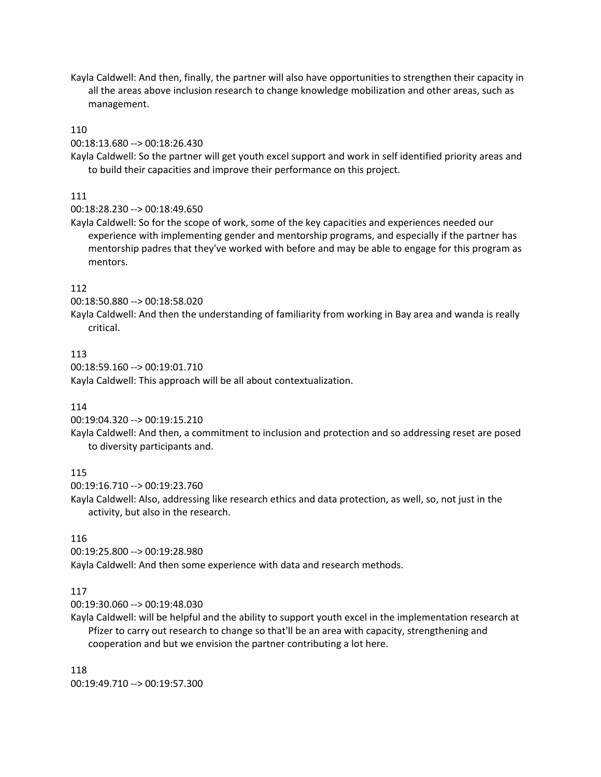Kayla Caldwell: And then, finally, the partner will also have opportunities to strengthen their capacity in all the areas above inclusion research to change knowledge mobilization and other areas, such as management.

### 110

00:18:13.680 --> 00:18:26.430

Kayla Caldwell: So the partner will get youth excel support and work in self identified priority areas and to build their capacities and improve their performance on this project.

## 111

00:18:28.230 --> 00:18:49.650

Kayla Caldwell: So for the scope of work, some of the key capacities and experiences needed our experience with implementing gender and mentorship programs, and especially if the partner has mentorship padres that they've worked with before and may be able to engage for this program as mentors.

### 112

00:18:50.880 --> 00:18:58.020

Kayla Caldwell: And then the understanding of familiarity from working in Bay area and wanda is really critical.

### 113

00:18:59.160 --> 00:19:01.710 Kayla Caldwell: This approach will be all about contextualization.

### 114

00:19:04.320 --> 00:19:15.210

Kayla Caldwell: And then, a commitment to inclusion and protection and so addressing reset are posed to diversity participants and.

### 115

00:19:16.710 --> 00:19:23.760

Kayla Caldwell: Also, addressing like research ethics and data protection, as well, so, not just in the activity, but also in the research.

#### 116

00:19:25.800 --> 00:19:28.980 Kayla Caldwell: And then some experience with data and research methods.

#### 117

00:19:30.060 --> 00:19:48.030

Kayla Caldwell: will be helpful and the ability to support youth excel in the implementation research at Pfizer to carry out research to change so that'll be an area with capacity, strengthening and cooperation and but we envision the partner contributing a lot here.

118 00:19:49.710 --> 00:19:57.300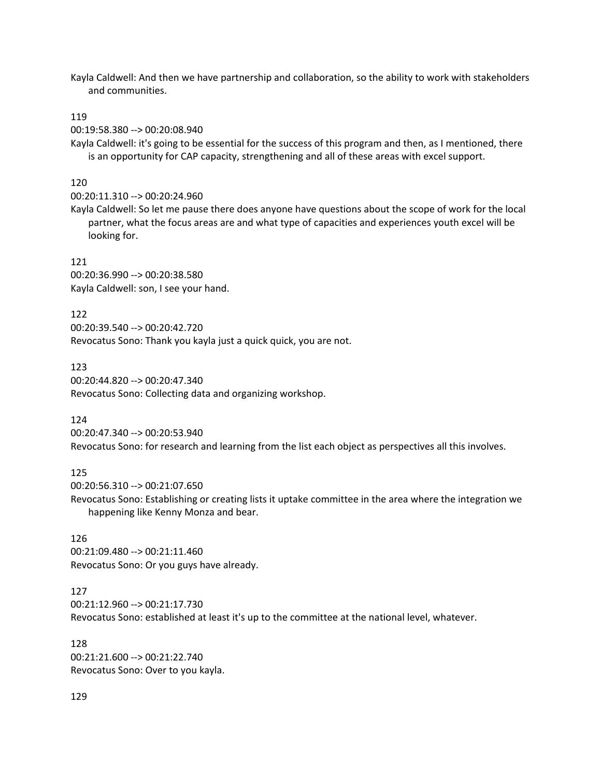Kayla Caldwell: And then we have partnership and collaboration, so the ability to work with stakeholders and communities.

#### 119

00:19:58.380 --> 00:20:08.940

Kayla Caldwell: it's going to be essential for the success of this program and then, as I mentioned, there is an opportunity for CAP capacity, strengthening and all of these areas with excel support.

#### 120

00:20:11.310 --> 00:20:24.960

Kayla Caldwell: So let me pause there does anyone have questions about the scope of work for the local partner, what the focus areas are and what type of capacities and experiences youth excel will be looking for.

#### 121

00:20:36.990 --> 00:20:38.580 Kayla Caldwell: son, I see your hand.

122 00:20:39.540 --> 00:20:42.720 Revocatus Sono: Thank you kayla just a quick quick, you are not.

123 00:20:44.820 --> 00:20:47.340 Revocatus Sono: Collecting data and organizing workshop.

124

00:20:47.340 --> 00:20:53.940 Revocatus Sono: for research and learning from the list each object as perspectives all this involves.

#### 125

00:20:56.310 --> 00:21:07.650

Revocatus Sono: Establishing or creating lists it uptake committee in the area where the integration we happening like Kenny Monza and bear.

#### 126

00:21:09.480 --> 00:21:11.460 Revocatus Sono: Or you guys have already.

#### 127

00:21:12.960 --> 00:21:17.730 Revocatus Sono: established at least it's up to the committee at the national level, whatever.

128 00:21:21.600 --> 00:21:22.740 Revocatus Sono: Over to you kayla.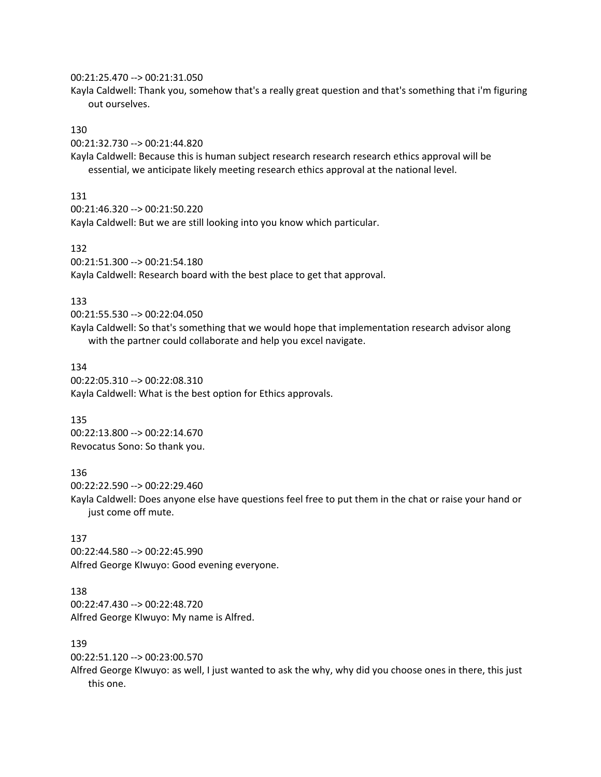#### 00:21:25.470 --> 00:21:31.050

Kayla Caldwell: Thank you, somehow that's a really great question and that's something that i'm figuring out ourselves.

# 130

00:21:32.730 --> 00:21:44.820

Kayla Caldwell: Because this is human subject research research research ethics approval will be essential, we anticipate likely meeting research ethics approval at the national level.

#### 131

00:21:46.320 --> 00:21:50.220

Kayla Caldwell: But we are still looking into you know which particular.

#### 132

00:21:51.300 --> 00:21:54.180

Kayla Caldwell: Research board with the best place to get that approval.

#### 133

00:21:55.530 --> 00:22:04.050

Kayla Caldwell: So that's something that we would hope that implementation research advisor along with the partner could collaborate and help you excel navigate.

#### 134

00:22:05.310 --> 00:22:08.310 Kayla Caldwell: What is the best option for Ethics approvals.

#### 135

00:22:13.800 --> 00:22:14.670 Revocatus Sono: So thank you.

#### 136

00:22:22.590 --> 00:22:29.460

Kayla Caldwell: Does anyone else have questions feel free to put them in the chat or raise your hand or just come off mute.

# 137

00:22:44.580 --> 00:22:45.990 Alfred George KIwuyo: Good evening everyone.

# 138

00:22:47.430 --> 00:22:48.720 Alfred George KIwuyo: My name is Alfred.

# 139

00:22:51.120 --> 00:23:00.570

Alfred George KIwuyo: as well, I just wanted to ask the why, why did you choose ones in there, this just this one.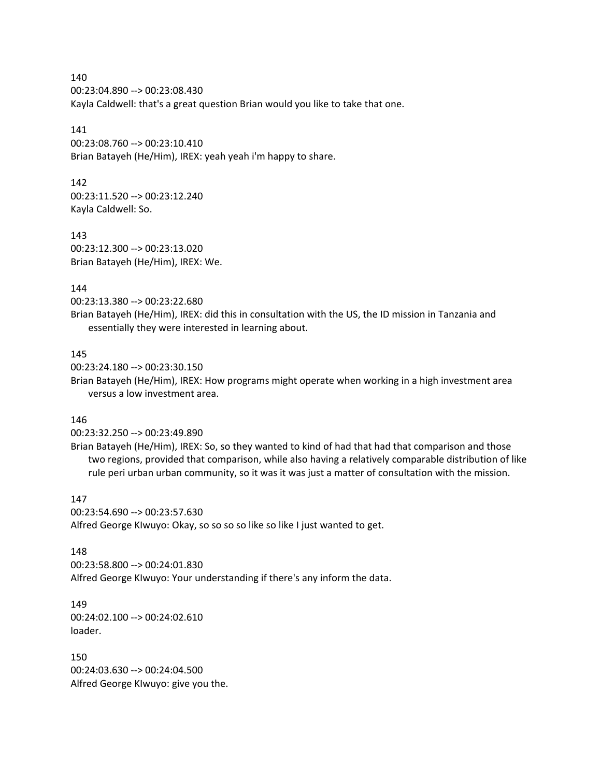00:23:04.890 --> 00:23:08.430 Kayla Caldwell: that's a great question Brian would you like to take that one.

### 141

00:23:08.760 --> 00:23:10.410 Brian Batayeh (He/Him), IREX: yeah yeah i'm happy to share.

### 142

00:23:11.520 --> 00:23:12.240 Kayla Caldwell: So.

## 143

00:23:12.300 --> 00:23:13.020 Brian Batayeh (He/Him), IREX: We.

# 144

00:23:13.380 --> 00:23:22.680

Brian Batayeh (He/Him), IREX: did this in consultation with the US, the ID mission in Tanzania and essentially they were interested in learning about.

# 145

00:23:24.180 --> 00:23:30.150

Brian Batayeh (He/Him), IREX: How programs might operate when working in a high investment area versus a low investment area.

# 146

00:23:32.250 --> 00:23:49.890

Brian Batayeh (He/Him), IREX: So, so they wanted to kind of had that had that comparison and those two regions, provided that comparison, while also having a relatively comparable distribution of like rule peri urban urban community, so it was it was just a matter of consultation with the mission.

# 147

00:23:54.690 --> 00:23:57.630 Alfred George KIwuyo: Okay, so so so so like so like I just wanted to get.

### 148

00:23:58.800 --> 00:24:01.830 Alfred George KIwuyo: Your understanding if there's any inform the data.

### 149 00:24:02.100 --> 00:24:02.610 loader.

150 00:24:03.630 --> 00:24:04.500 Alfred George KIwuyo: give you the.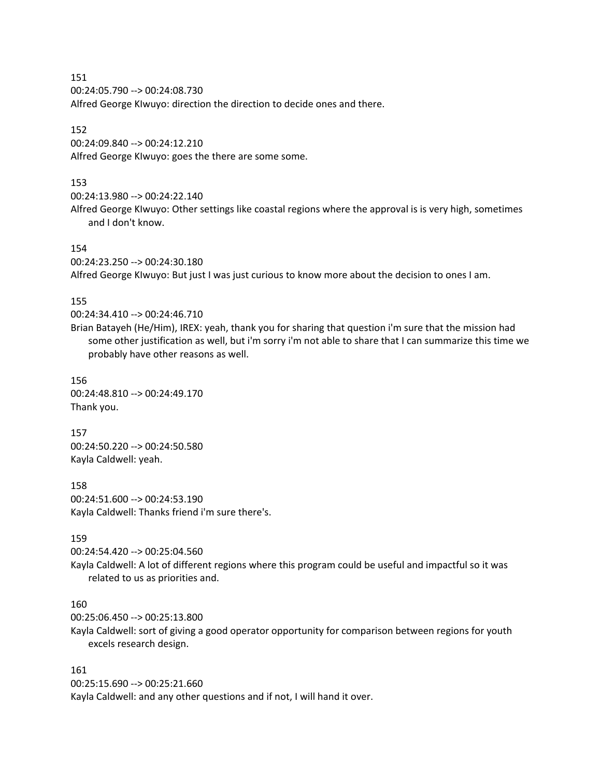00:24:05.790 --> 00:24:08.730 Alfred George KIwuyo: direction the direction to decide ones and there.

### 152

00:24:09.840 --> 00:24:12.210 Alfred George KIwuyo: goes the there are some some.

# 153

00:24:13.980 --> 00:24:22.140

Alfred George KIwuyo: Other settings like coastal regions where the approval is is very high, sometimes and I don't know.

### 154

00:24:23.250 --> 00:24:30.180

Alfred George KIwuyo: But just I was just curious to know more about the decision to ones I am.

## 155

00:24:34.410 --> 00:24:46.710

Brian Batayeh (He/Him), IREX: yeah, thank you for sharing that question i'm sure that the mission had some other justification as well, but i'm sorry i'm not able to share that I can summarize this time we probably have other reasons as well.

### 156

00:24:48.810 --> 00:24:49.170 Thank you.

157 00:24:50.220 --> 00:24:50.580 Kayla Caldwell: yeah.

158 00:24:51.600 --> 00:24:53.190 Kayla Caldwell: Thanks friend i'm sure there's.

### 159

00:24:54.420 --> 00:25:04.560

Kayla Caldwell: A lot of different regions where this program could be useful and impactful so it was related to us as priorities and.

# 160

00:25:06.450 --> 00:25:13.800

Kayla Caldwell: sort of giving a good operator opportunity for comparison between regions for youth excels research design.

### 161

00:25:15.690 --> 00:25:21.660 Kayla Caldwell: and any other questions and if not, I will hand it over.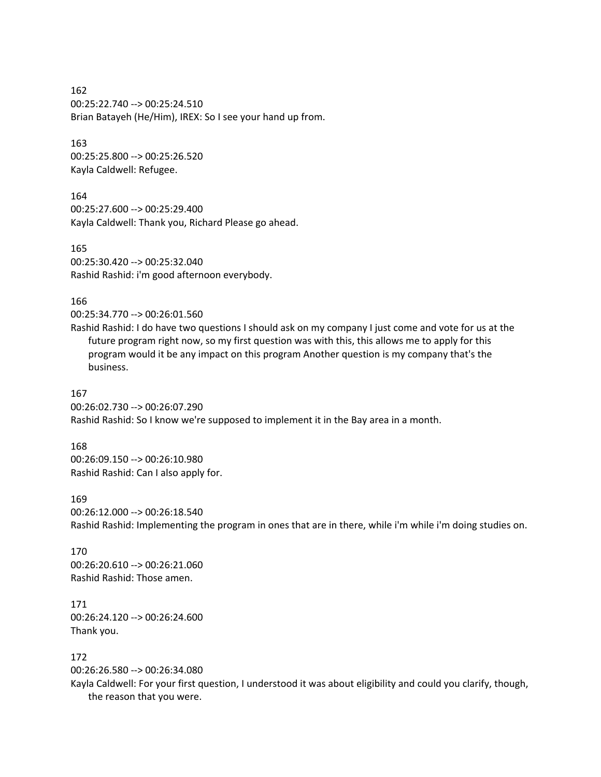162 00:25:22.740 --> 00:25:24.510 Brian Batayeh (He/Him), IREX: So I see your hand up from.

163 00:25:25.800 --> 00:25:26.520 Kayla Caldwell: Refugee.

164 00:25:27.600 --> 00:25:29.400 Kayla Caldwell: Thank you, Richard Please go ahead.

165 00:25:30.420 --> 00:25:32.040 Rashid Rashid: i'm good afternoon everybody.

166

00:25:34.770 --> 00:26:01.560

Rashid Rashid: I do have two questions I should ask on my company I just come and vote for us at the future program right now, so my first question was with this, this allows me to apply for this program would it be any impact on this program Another question is my company that's the business.

## 167

00:26:02.730 --> 00:26:07.290 Rashid Rashid: So I know we're supposed to implement it in the Bay area in a month.

### 168

00:26:09.150 --> 00:26:10.980 Rashid Rashid: Can I also apply for.

#### 169

00:26:12.000 --> 00:26:18.540 Rashid Rashid: Implementing the program in ones that are in there, while i'm while i'm doing studies on.

170 00:26:20.610 --> 00:26:21.060 Rashid Rashid: Those amen.

171 00:26:24.120 --> 00:26:24.600 Thank you.

# 172

00:26:26.580 --> 00:26:34.080

Kayla Caldwell: For your first question, I understood it was about eligibility and could you clarify, though, the reason that you were.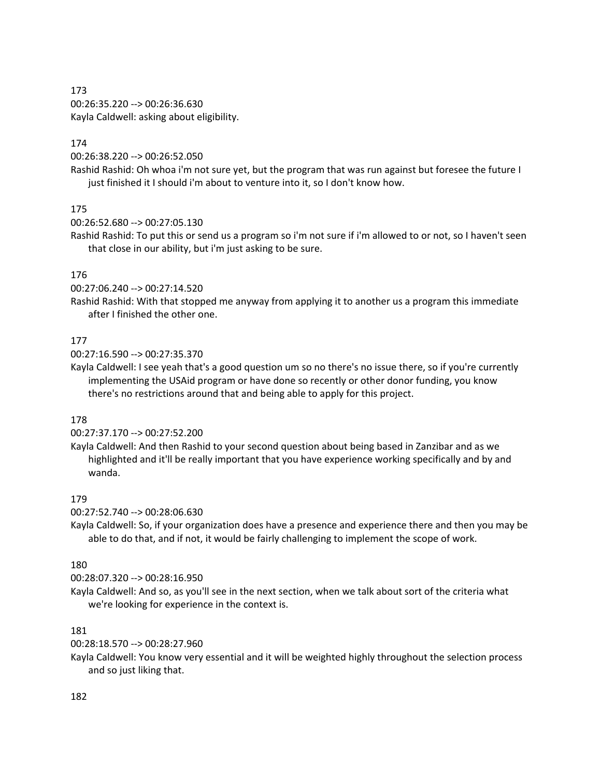00:26:35.220 --> 00:26:36.630 Kayla Caldwell: asking about eligibility.

## 174

00:26:38.220 --> 00:26:52.050

Rashid Rashid: Oh whoa i'm not sure yet, but the program that was run against but foresee the future I just finished it I should i'm about to venture into it, so I don't know how.

## 175

00:26:52.680 --> 00:27:05.130

Rashid Rashid: To put this or send us a program so i'm not sure if i'm allowed to or not, so I haven't seen that close in our ability, but i'm just asking to be sure.

## 176

00:27:06.240 --> 00:27:14.520

Rashid Rashid: With that stopped me anyway from applying it to another us a program this immediate after I finished the other one.

## 177

00:27:16.590 --> 00:27:35.370

Kayla Caldwell: I see yeah that's a good question um so no there's no issue there, so if you're currently implementing the USAid program or have done so recently or other donor funding, you know there's no restrictions around that and being able to apply for this project.

### 178

00:27:37.170 --> 00:27:52.200

Kayla Caldwell: And then Rashid to your second question about being based in Zanzibar and as we highlighted and it'll be really important that you have experience working specifically and by and wanda.

### 179

00:27:52.740 --> 00:28:06.630

Kayla Caldwell: So, if your organization does have a presence and experience there and then you may be able to do that, and if not, it would be fairly challenging to implement the scope of work.

### 180

00:28:07.320 --> 00:28:16.950

Kayla Caldwell: And so, as you'll see in the next section, when we talk about sort of the criteria what we're looking for experience in the context is.

### 181

00:28:18.570 --> 00:28:27.960

Kayla Caldwell: You know very essential and it will be weighted highly throughout the selection process and so just liking that.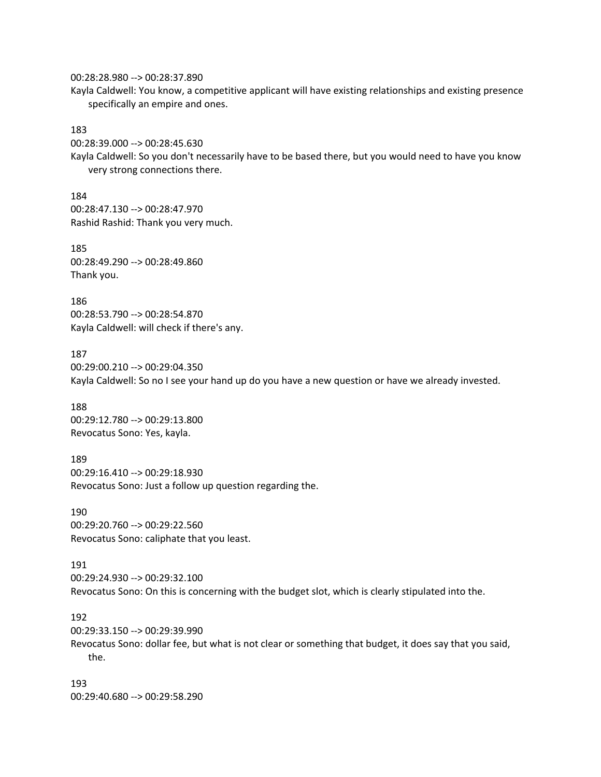00:28:28.980 --> 00:28:37.890 Kayla Caldwell: You know, a competitive applicant will have existing relationships and existing presence specifically an empire and ones.

183

00:28:39.000 --> 00:28:45.630

Kayla Caldwell: So you don't necessarily have to be based there, but you would need to have you know very strong connections there.

184 00:28:47.130 --> 00:28:47.970 Rashid Rashid: Thank you very much.

185 00:28:49.290 --> 00:28:49.860 Thank you.

186 00:28:53.790 --> 00:28:54.870 Kayla Caldwell: will check if there's any.

187 00:29:00.210 --> 00:29:04.350 Kayla Caldwell: So no I see your hand up do you have a new question or have we already invested.

188 00:29:12.780 --> 00:29:13.800 Revocatus Sono: Yes, kayla.

189 00:29:16.410 --> 00:29:18.930 Revocatus Sono: Just a follow up question regarding the.

190 00:29:20.760 --> 00:29:22.560 Revocatus Sono: caliphate that you least.

191 00:29:24.930 --> 00:29:32.100 Revocatus Sono: On this is concerning with the budget slot, which is clearly stipulated into the.

192

00:29:33.150 --> 00:29:39.990 Revocatus Sono: dollar fee, but what is not clear or something that budget, it does say that you said, the.

193 00:29:40.680 --> 00:29:58.290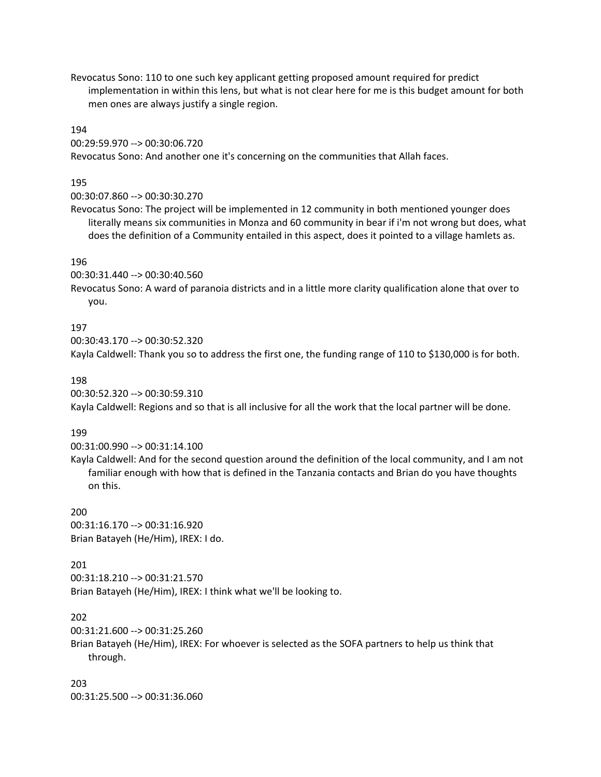Revocatus Sono: 110 to one such key applicant getting proposed amount required for predict implementation in within this lens, but what is not clear here for me is this budget amount for both men ones are always justify a single region.

#### 194

00:29:59.970 --> 00:30:06.720 Revocatus Sono: And another one it's concerning on the communities that Allah faces.

#### 195

00:30:07.860 --> 00:30:30.270

Revocatus Sono: The project will be implemented in 12 community in both mentioned younger does literally means six communities in Monza and 60 community in bear if i'm not wrong but does, what does the definition of a Community entailed in this aspect, does it pointed to a village hamlets as.

### 196

00:30:31.440 --> 00:30:40.560

Revocatus Sono: A ward of paranoia districts and in a little more clarity qualification alone that over to you.

#### 197

00:30:43.170 --> 00:30:52.320

Kayla Caldwell: Thank you so to address the first one, the funding range of 110 to \$130,000 is for both.

#### 198

00:30:52.320 --> 00:30:59.310

Kayla Caldwell: Regions and so that is all inclusive for all the work that the local partner will be done.

#### 199

00:31:00.990 --> 00:31:14.100

Kayla Caldwell: And for the second question around the definition of the local community, and I am not familiar enough with how that is defined in the Tanzania contacts and Brian do you have thoughts on this.

#### 200

00:31:16.170 --> 00:31:16.920 Brian Batayeh (He/Him), IREX: I do.

#### 201

00:31:18.210 --> 00:31:21.570 Brian Batayeh (He/Him), IREX: I think what we'll be looking to.

#### 202

```
00:31:21.600 --> 00:31:25.260
```
Brian Batayeh (He/Him), IREX: For whoever is selected as the SOFA partners to help us think that through.

203 00:31:25.500 --> 00:31:36.060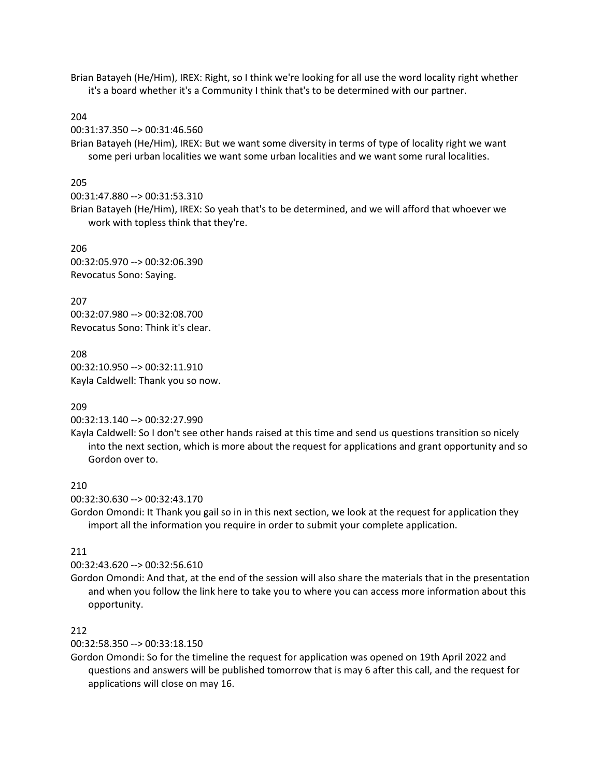Brian Batayeh (He/Him), IREX: Right, so I think we're looking for all use the word locality right whether it's a board whether it's a Community I think that's to be determined with our partner.

#### 204

00:31:37.350 --> 00:31:46.560

Brian Batayeh (He/Him), IREX: But we want some diversity in terms of type of locality right we want some peri urban localities we want some urban localities and we want some rural localities.

#### 205

00:31:47.880 --> 00:31:53.310

Brian Batayeh (He/Him), IREX: So yeah that's to be determined, and we will afford that whoever we work with topless think that they're.

#### 206

00:32:05.970 --> 00:32:06.390 Revocatus Sono: Saying.

207 00:32:07.980 --> 00:32:08.700 Revocatus Sono: Think it's clear.

208 00:32:10.950 --> 00:32:11.910 Kayla Caldwell: Thank you so now.

#### 209

#### 00:32:13.140 --> 00:32:27.990

Kayla Caldwell: So I don't see other hands raised at this time and send us questions transition so nicely into the next section, which is more about the request for applications and grant opportunity and so Gordon over to.

# 210

00:32:30.630 --> 00:32:43.170

Gordon Omondi: It Thank you gail so in in this next section, we look at the request for application they import all the information you require in order to submit your complete application.

#### 211

00:32:43.620 --> 00:32:56.610

Gordon Omondi: And that, at the end of the session will also share the materials that in the presentation and when you follow the link here to take you to where you can access more information about this opportunity.

### 212

00:32:58.350 --> 00:33:18.150

Gordon Omondi: So for the timeline the request for application was opened on 19th April 2022 and questions and answers will be published tomorrow that is may 6 after this call, and the request for applications will close on may 16.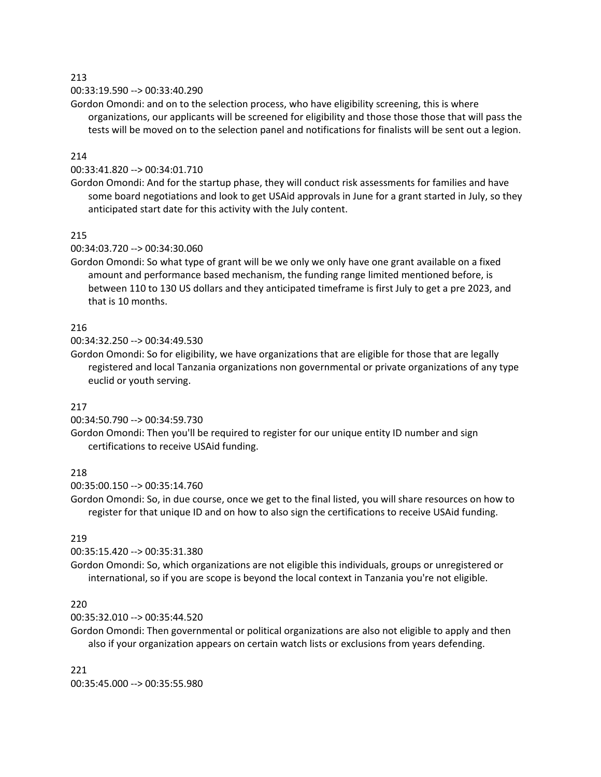### 00:33:19.590 --> 00:33:40.290

Gordon Omondi: and on to the selection process, who have eligibility screening, this is where organizations, our applicants will be screened for eligibility and those those those that will pass the tests will be moved on to the selection panel and notifications for finalists will be sent out a legion.

#### 214

### 00:33:41.820 --> 00:34:01.710

Gordon Omondi: And for the startup phase, they will conduct risk assessments for families and have some board negotiations and look to get USAid approvals in June for a grant started in July, so they anticipated start date for this activity with the July content.

#### 215

#### 00:34:03.720 --> 00:34:30.060

Gordon Omondi: So what type of grant will be we only we only have one grant available on a fixed amount and performance based mechanism, the funding range limited mentioned before, is between 110 to 130 US dollars and they anticipated timeframe is first July to get a pre 2023, and that is 10 months.

#### 216

00:34:32.250 --> 00:34:49.530

Gordon Omondi: So for eligibility, we have organizations that are eligible for those that are legally registered and local Tanzania organizations non governmental or private organizations of any type euclid or youth serving.

### 217

00:34:50.790 --> 00:34:59.730

Gordon Omondi: Then you'll be required to register for our unique entity ID number and sign certifications to receive USAid funding.

### 218

00:35:00.150 --> 00:35:14.760

Gordon Omondi: So, in due course, once we get to the final listed, you will share resources on how to register for that unique ID and on how to also sign the certifications to receive USAid funding.

### 219

00:35:15.420 --> 00:35:31.380

Gordon Omondi: So, which organizations are not eligible this individuals, groups or unregistered or international, so if you are scope is beyond the local context in Tanzania you're not eligible.

#### 220

00:35:32.010 --> 00:35:44.520

Gordon Omondi: Then governmental or political organizations are also not eligible to apply and then also if your organization appears on certain watch lists or exclusions from years defending.

221 00:35:45.000 --> 00:35:55.980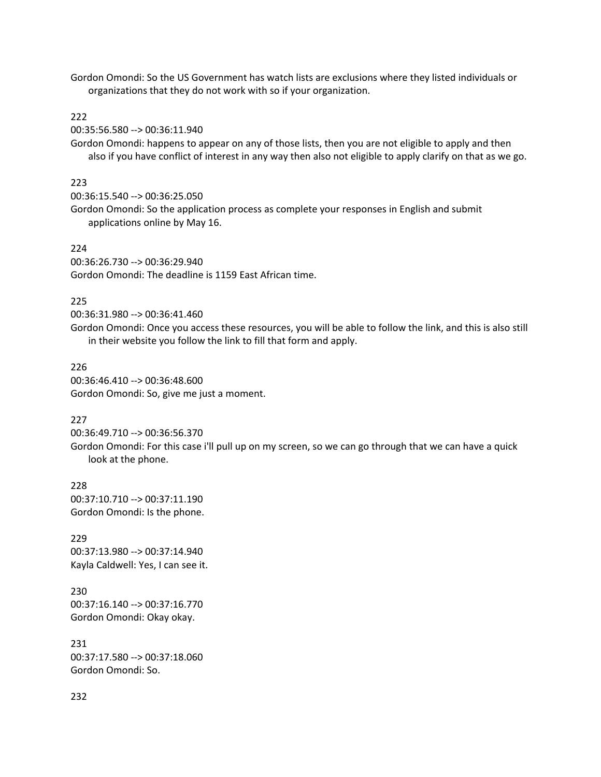Gordon Omondi: So the US Government has watch lists are exclusions where they listed individuals or organizations that they do not work with so if your organization.

#### 222

00:35:56.580 --> 00:36:11.940

Gordon Omondi: happens to appear on any of those lists, then you are not eligible to apply and then also if you have conflict of interest in any way then also not eligible to apply clarify on that as we go.

#### 223

00:36:15.540 --> 00:36:25.050

Gordon Omondi: So the application process as complete your responses in English and submit applications online by May 16.

#### 224

00:36:26.730 --> 00:36:29.940 Gordon Omondi: The deadline is 1159 East African time.

#### 225

00:36:31.980 --> 00:36:41.460

Gordon Omondi: Once you access these resources, you will be able to follow the link, and this is also still in their website you follow the link to fill that form and apply.

#### 226

00:36:46.410 --> 00:36:48.600 Gordon Omondi: So, give me just a moment.

### 227

00:36:49.710 --> 00:36:56.370 Gordon Omondi: For this case i'll pull up on my screen, so we can go through that we can have a quick look at the phone.

228 00:37:10.710 --> 00:37:11.190 Gordon Omondi: Is the phone.

229 00:37:13.980 --> 00:37:14.940 Kayla Caldwell: Yes, I can see it.

230 00:37:16.140 --> 00:37:16.770 Gordon Omondi: Okay okay.

231 00:37:17.580 --> 00:37:18.060 Gordon Omondi: So.

#### 232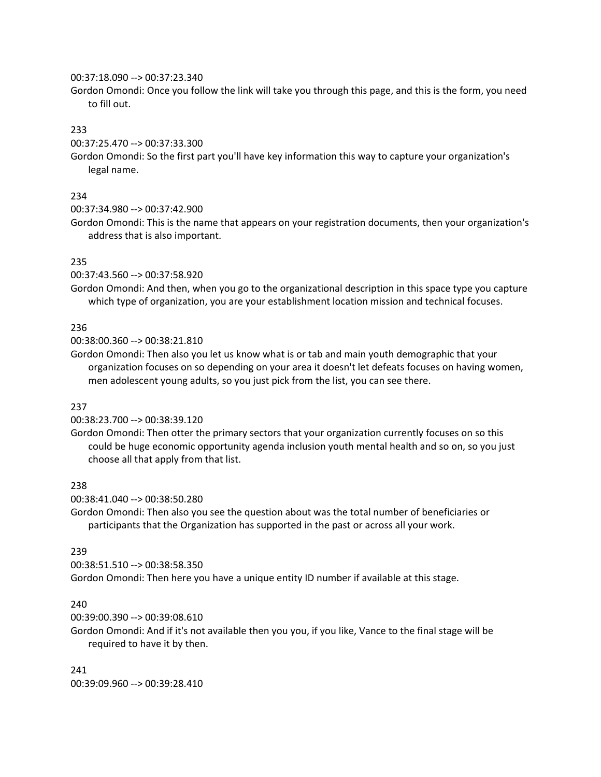#### 00:37:18.090 --> 00:37:23.340

Gordon Omondi: Once you follow the link will take you through this page, and this is the form, you need to fill out.

#### 233

00:37:25.470 --> 00:37:33.300

Gordon Omondi: So the first part you'll have key information this way to capture your organization's legal name.

#### 234

00:37:34.980 --> 00:37:42.900

Gordon Omondi: This is the name that appears on your registration documents, then your organization's address that is also important.

#### 235

00:37:43.560 --> 00:37:58.920

Gordon Omondi: And then, when you go to the organizational description in this space type you capture which type of organization, you are your establishment location mission and technical focuses.

#### 236

00:38:00.360 --> 00:38:21.810

Gordon Omondi: Then also you let us know what is or tab and main youth demographic that your organization focuses on so depending on your area it doesn't let defeats focuses on having women, men adolescent young adults, so you just pick from the list, you can see there.

### 237

00:38:23.700 --> 00:38:39.120

Gordon Omondi: Then otter the primary sectors that your organization currently focuses on so this could be huge economic opportunity agenda inclusion youth mental health and so on, so you just choose all that apply from that list.

#### 238

00:38:41.040 --> 00:38:50.280

Gordon Omondi: Then also you see the question about was the total number of beneficiaries or participants that the Organization has supported in the past or across all your work.

### 239

00:38:51.510 --> 00:38:58.350

Gordon Omondi: Then here you have a unique entity ID number if available at this stage.

#### 240

00:39:00.390 --> 00:39:08.610

Gordon Omondi: And if it's not available then you you, if you like, Vance to the final stage will be required to have it by then.

#### 241

00:39:09.960 --> 00:39:28.410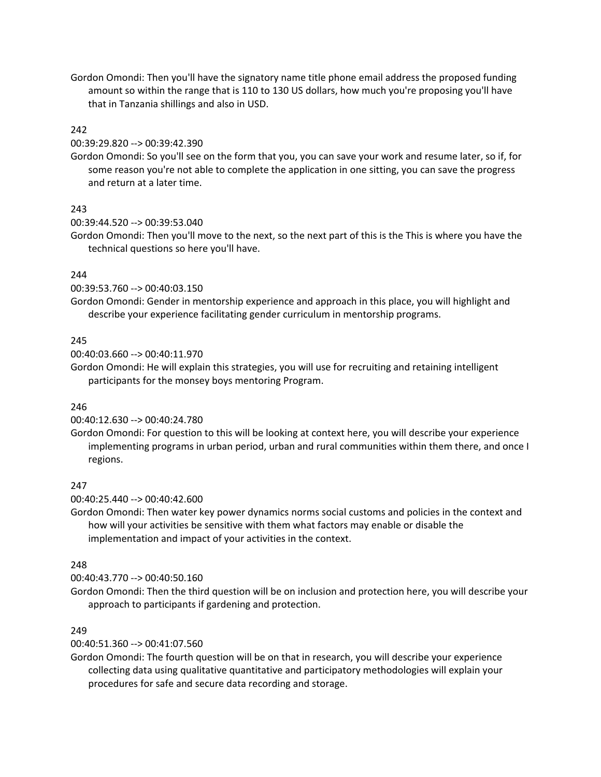Gordon Omondi: Then you'll have the signatory name title phone email address the proposed funding amount so within the range that is 110 to 130 US dollars, how much you're proposing you'll have that in Tanzania shillings and also in USD.

# 242

00:39:29.820 --> 00:39:42.390

Gordon Omondi: So you'll see on the form that you, you can save your work and resume later, so if, for some reason you're not able to complete the application in one sitting, you can save the progress and return at a later time.

## 243

#### 00:39:44.520 --> 00:39:53.040

Gordon Omondi: Then you'll move to the next, so the next part of this is the This is where you have the technical questions so here you'll have.

## 244

00:39:53.760 --> 00:40:03.150

Gordon Omondi: Gender in mentorship experience and approach in this place, you will highlight and describe your experience facilitating gender curriculum in mentorship programs.

## 245

00:40:03.660 --> 00:40:11.970

Gordon Omondi: He will explain this strategies, you will use for recruiting and retaining intelligent participants for the monsey boys mentoring Program.

### 246

00:40:12.630 --> 00:40:24.780

Gordon Omondi: For question to this will be looking at context here, you will describe your experience implementing programs in urban period, urban and rural communities within them there, and once I regions.

# 247

00:40:25.440 --> 00:40:42.600

Gordon Omondi: Then water key power dynamics norms social customs and policies in the context and how will your activities be sensitive with them what factors may enable or disable the implementation and impact of your activities in the context.

### 248

00:40:43.770 --> 00:40:50.160

Gordon Omondi: Then the third question will be on inclusion and protection here, you will describe your approach to participants if gardening and protection.

### 249

00:40:51.360 --> 00:41:07.560

Gordon Omondi: The fourth question will be on that in research, you will describe your experience collecting data using qualitative quantitative and participatory methodologies will explain your procedures for safe and secure data recording and storage.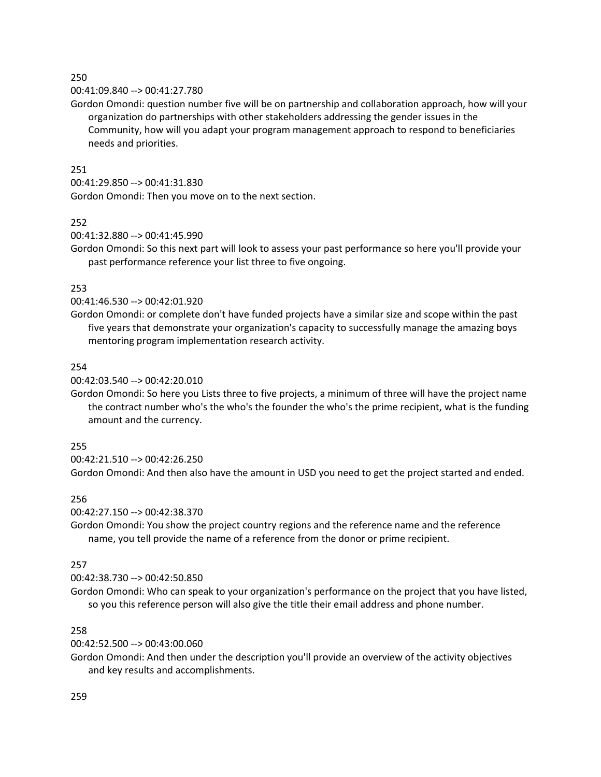### 00:41:09.840 --> 00:41:27.780

Gordon Omondi: question number five will be on partnership and collaboration approach, how will your organization do partnerships with other stakeholders addressing the gender issues in the Community, how will you adapt your program management approach to respond to beneficiaries needs and priorities.

# 251

00:41:29.850 --> 00:41:31.830

Gordon Omondi: Then you move on to the next section.

## 252

00:41:32.880 --> 00:41:45.990

Gordon Omondi: So this next part will look to assess your past performance so here you'll provide your past performance reference your list three to five ongoing.

# 253

### 00:41:46.530 --> 00:42:01.920

Gordon Omondi: or complete don't have funded projects have a similar size and scope within the past five years that demonstrate your organization's capacity to successfully manage the amazing boys mentoring program implementation research activity.

## 254

### 00:42:03.540 --> 00:42:20.010

Gordon Omondi: So here you Lists three to five projects, a minimum of three will have the project name the contract number who's the who's the founder the who's the prime recipient, what is the funding amount and the currency.

### 255

00:42:21.510 --> 00:42:26.250

Gordon Omondi: And then also have the amount in USD you need to get the project started and ended.

# 256

### 00:42:27.150 --> 00:42:38.370

Gordon Omondi: You show the project country regions and the reference name and the reference name, you tell provide the name of a reference from the donor or prime recipient.

### 257

### 00:42:38.730 --> 00:42:50.850

Gordon Omondi: Who can speak to your organization's performance on the project that you have listed, so you this reference person will also give the title their email address and phone number.

# 258

### 00:42:52.500 --> 00:43:00.060

Gordon Omondi: And then under the description you'll provide an overview of the activity objectives and key results and accomplishments.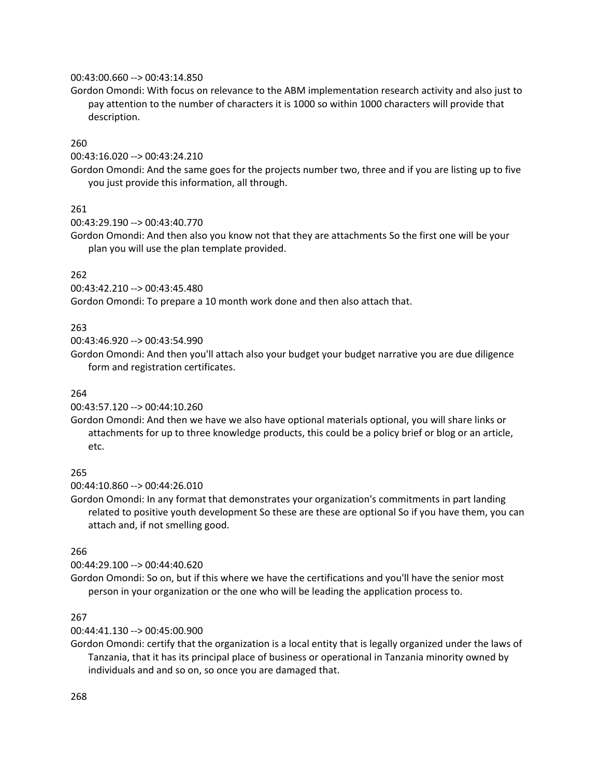#### 00:43:00.660 --> 00:43:14.850

Gordon Omondi: With focus on relevance to the ABM implementation research activity and also just to pay attention to the number of characters it is 1000 so within 1000 characters will provide that description.

### 260

00:43:16.020 --> 00:43:24.210

Gordon Omondi: And the same goes for the projects number two, three and if you are listing up to five you just provide this information, all through.

## 261

00:43:29.190 --> 00:43:40.770

Gordon Omondi: And then also you know not that they are attachments So the first one will be your plan you will use the plan template provided.

## 262

00:43:42.210 --> 00:43:45.480

Gordon Omondi: To prepare a 10 month work done and then also attach that.

## 263

00:43:46.920 --> 00:43:54.990

Gordon Omondi: And then you'll attach also your budget your budget narrative you are due diligence form and registration certificates.

### 264

00:43:57.120 --> 00:44:10.260

Gordon Omondi: And then we have we also have optional materials optional, you will share links or attachments for up to three knowledge products, this could be a policy brief or blog or an article, etc.

### 265

00:44:10.860 --> 00:44:26.010

Gordon Omondi: In any format that demonstrates your organization's commitments in part landing related to positive youth development So these are these are optional So if you have them, you can attach and, if not smelling good.

# 266

00:44:29.100 --> 00:44:40.620

Gordon Omondi: So on, but if this where we have the certifications and you'll have the senior most person in your organization or the one who will be leading the application process to.

### 267

00:44:41.130 --> 00:45:00.900

Gordon Omondi: certify that the organization is a local entity that is legally organized under the laws of Tanzania, that it has its principal place of business or operational in Tanzania minority owned by individuals and and so on, so once you are damaged that.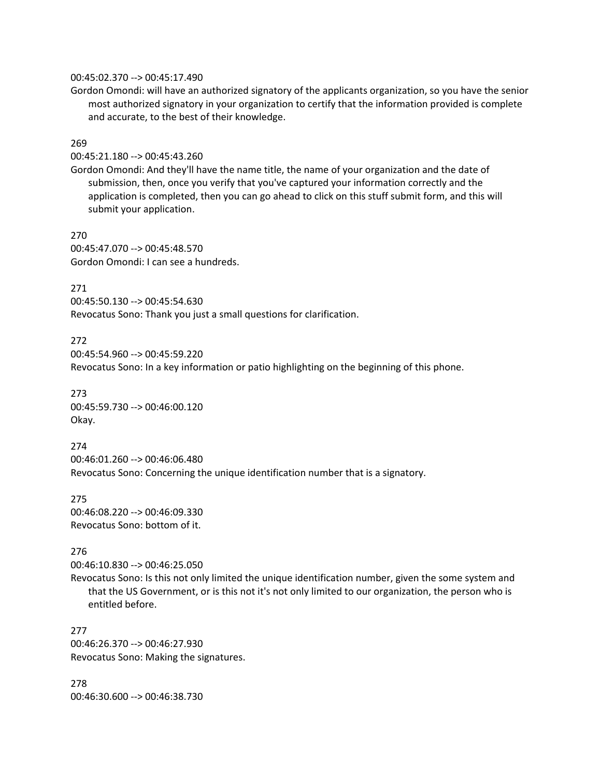#### 00:45:02.370 --> 00:45:17.490

Gordon Omondi: will have an authorized signatory of the applicants organization, so you have the senior most authorized signatory in your organization to certify that the information provided is complete and accurate, to the best of their knowledge.

#### 269

00:45:21.180 --> 00:45:43.260

Gordon Omondi: And they'll have the name title, the name of your organization and the date of submission, then, once you verify that you've captured your information correctly and the application is completed, then you can go ahead to click on this stuff submit form, and this will submit your application.

270 00:45:47.070 --> 00:45:48.570 Gordon Omondi: I can see a hundreds.

#### 271

00:45:50.130 --> 00:45:54.630 Revocatus Sono: Thank you just a small questions for clarification.

## 272

00:45:54.960 --> 00:45:59.220

Revocatus Sono: In a key information or patio highlighting on the beginning of this phone.

273 00:45:59.730 --> 00:46:00.120 Okay.

#### 274

00:46:01.260 --> 00:46:06.480 Revocatus Sono: Concerning the unique identification number that is a signatory.

275 00:46:08.220 --> 00:46:09.330 Revocatus Sono: bottom of it.

#### 276

00:46:10.830 --> 00:46:25.050

Revocatus Sono: Is this not only limited the unique identification number, given the some system and that the US Government, or is this not it's not only limited to our organization, the person who is entitled before.

277 00:46:26.370 --> 00:46:27.930 Revocatus Sono: Making the signatures.

278 00:46:30.600 --> 00:46:38.730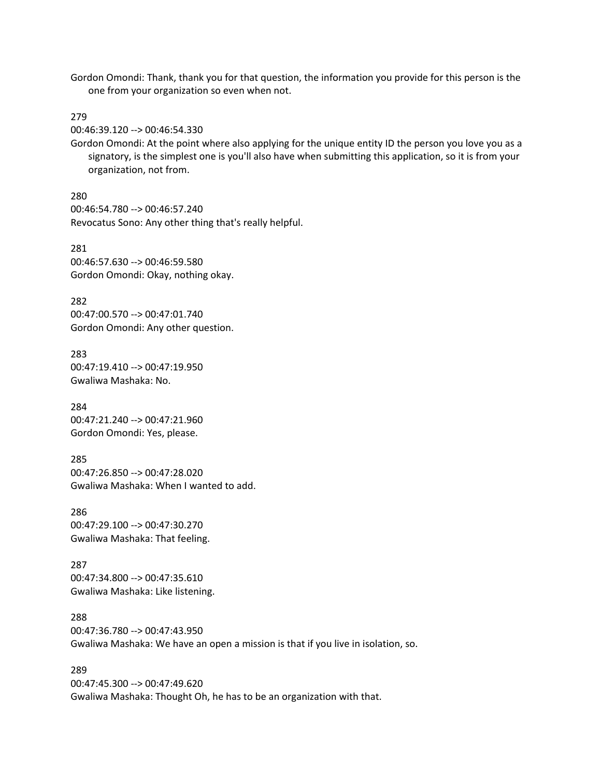Gordon Omondi: Thank, thank you for that question, the information you provide for this person is the one from your organization so even when not.

279

00:46:39.120 --> 00:46:54.330

Gordon Omondi: At the point where also applying for the unique entity ID the person you love you as a signatory, is the simplest one is you'll also have when submitting this application, so it is from your organization, not from.

280 00:46:54.780 --> 00:46:57.240 Revocatus Sono: Any other thing that's really helpful.

281 00:46:57.630 --> 00:46:59.580 Gordon Omondi: Okay, nothing okay.

282 00:47:00.570 --> 00:47:01.740 Gordon Omondi: Any other question.

283 00:47:19.410 --> 00:47:19.950 Gwaliwa Mashaka: No.

284 00:47:21.240 --> 00:47:21.960 Gordon Omondi: Yes, please.

285 00:47:26.850 --> 00:47:28.020 Gwaliwa Mashaka: When I wanted to add.

286 00:47:29.100 --> 00:47:30.270 Gwaliwa Mashaka: That feeling.

287 00:47:34.800 --> 00:47:35.610 Gwaliwa Mashaka: Like listening.

288 00:47:36.780 --> 00:47:43.950 Gwaliwa Mashaka: We have an open a mission is that if you live in isolation, so.

289 00:47:45.300 --> 00:47:49.620 Gwaliwa Mashaka: Thought Oh, he has to be an organization with that.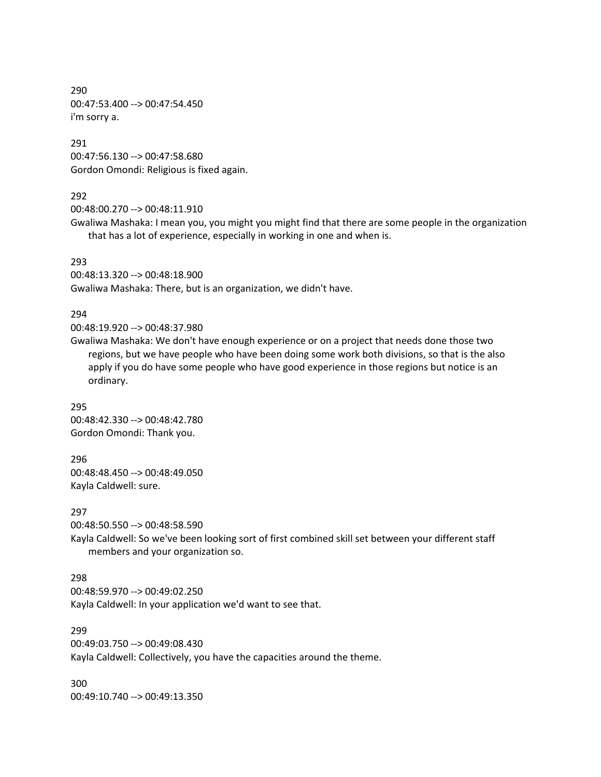290 00:47:53.400 --> 00:47:54.450 i'm sorry a.

291 00:47:56.130 --> 00:47:58.680 Gordon Omondi: Religious is fixed again.

# 292

00:48:00.270 --> 00:48:11.910

Gwaliwa Mashaka: I mean you, you might you might find that there are some people in the organization that has a lot of experience, especially in working in one and when is.

#### 293

00:48:13.320 --> 00:48:18.900 Gwaliwa Mashaka: There, but is an organization, we didn't have.

#### 294

00:48:19.920 --> 00:48:37.980

Gwaliwa Mashaka: We don't have enough experience or on a project that needs done those two regions, but we have people who have been doing some work both divisions, so that is the also apply if you do have some people who have good experience in those regions but notice is an ordinary.

295 00:48:42.330 --> 00:48:42.780 Gordon Omondi: Thank you.

296 00:48:48.450 --> 00:48:49.050 Kayla Caldwell: sure.

297

00:48:50.550 --> 00:48:58.590

Kayla Caldwell: So we've been looking sort of first combined skill set between your different staff members and your organization so.

#### 298

00:48:59.970 --> 00:49:02.250 Kayla Caldwell: In your application we'd want to see that.

299 00:49:03.750 --> 00:49:08.430

Kayla Caldwell: Collectively, you have the capacities around the theme.

300 00:49:10.740 --> 00:49:13.350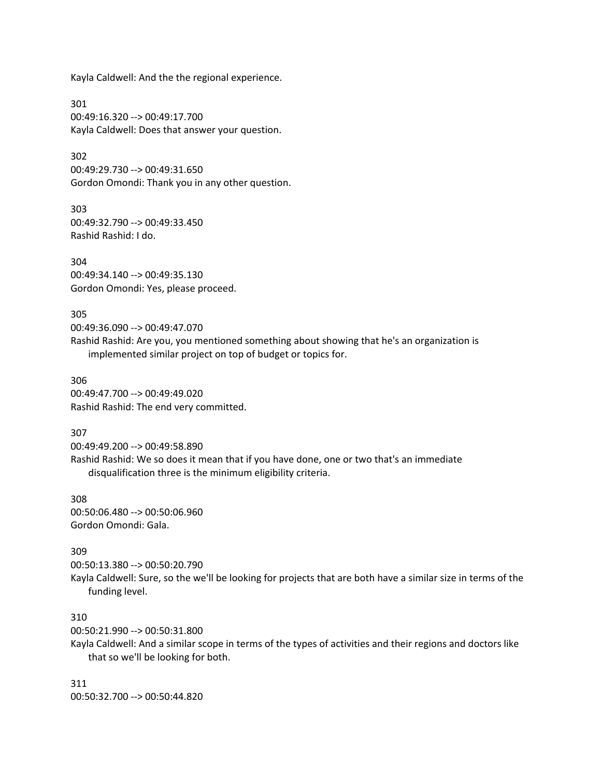Kayla Caldwell: And the the regional experience.

301 00:49:16.320 --> 00:49:17.700 Kayla Caldwell: Does that answer your question.

302 00:49:29.730 --> 00:49:31.650 Gordon Omondi: Thank you in any other question.

303 00:49:32.790 --> 00:49:33.450 Rashid Rashid: I do.

304 00:49:34.140 --> 00:49:35.130 Gordon Omondi: Yes, please proceed.

305 00:49:36.090 --> 00:49:47.070 Rashid Rashid: Are you, you mentioned something about showing that he's an organization is implemented similar project on top of budget or topics for.

306 00:49:47.700 --> 00:49:49.020 Rashid Rashid: The end very committed.

307

00:49:49.200 --> 00:49:58.890 Rashid Rashid: We so does it mean that if you have done, one or two that's an immediate disqualification three is the minimum eligibility criteria.

308 00:50:06.480 --> 00:50:06.960 Gordon Omondi: Gala.

309

00:50:13.380 --> 00:50:20.790 Kayla Caldwell: Sure, so the we'll be looking for projects that are both have a similar size in terms of the funding level.

310

00:50:21.990 --> 00:50:31.800

Kayla Caldwell: And a similar scope in terms of the types of activities and their regions and doctors like that so we'll be looking for both.

311 00:50:32.700 --> 00:50:44.820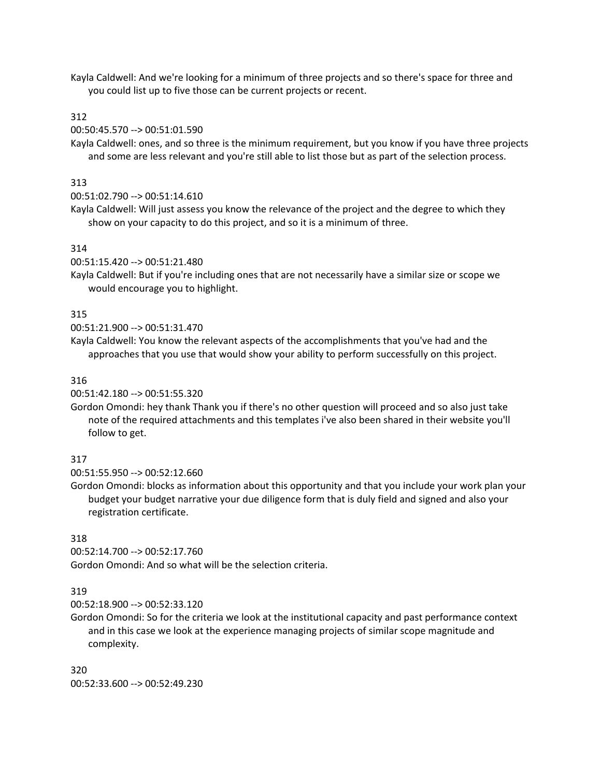Kayla Caldwell: And we're looking for a minimum of three projects and so there's space for three and you could list up to five those can be current projects or recent.

#### 312

00:50:45.570 --> 00:51:01.590

Kayla Caldwell: ones, and so three is the minimum requirement, but you know if you have three projects and some are less relevant and you're still able to list those but as part of the selection process.

#### 313

00:51:02.790 --> 00:51:14.610

Kayla Caldwell: Will just assess you know the relevance of the project and the degree to which they show on your capacity to do this project, and so it is a minimum of three.

#### 314

00:51:15.420 --> 00:51:21.480

Kayla Caldwell: But if you're including ones that are not necessarily have a similar size or scope we would encourage you to highlight.

#### 315

00:51:21.900 --> 00:51:31.470

Kayla Caldwell: You know the relevant aspects of the accomplishments that you've had and the approaches that you use that would show your ability to perform successfully on this project.

#### 316

00:51:42.180 --> 00:51:55.320

Gordon Omondi: hey thank Thank you if there's no other question will proceed and so also just take note of the required attachments and this templates i've also been shared in their website you'll follow to get.

#### 317

00:51:55.950 --> 00:52:12.660

Gordon Omondi: blocks as information about this opportunity and that you include your work plan your budget your budget narrative your due diligence form that is duly field and signed and also your registration certificate.

#### 318

00:52:14.700 --> 00:52:17.760 Gordon Omondi: And so what will be the selection criteria.

#### 319

00:52:18.900 --> 00:52:33.120

Gordon Omondi: So for the criteria we look at the institutional capacity and past performance context and in this case we look at the experience managing projects of similar scope magnitude and complexity.

320 00:52:33.600 --> 00:52:49.230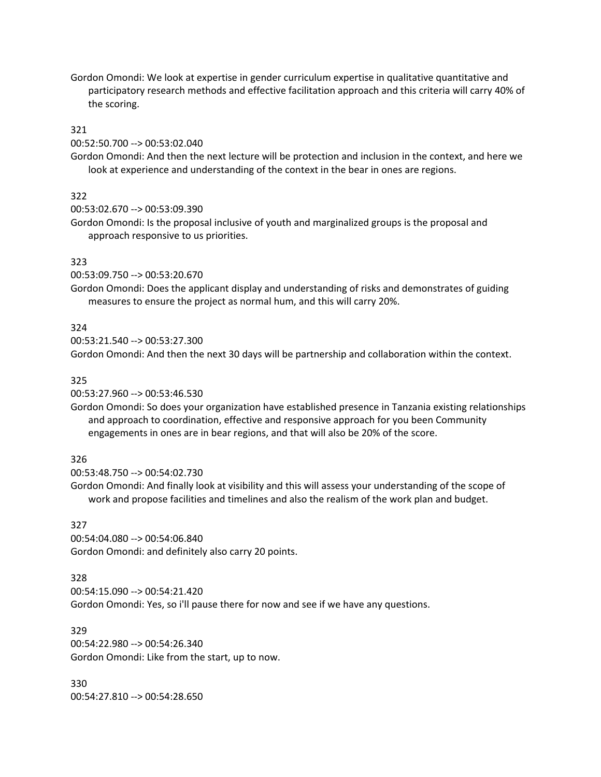Gordon Omondi: We look at expertise in gender curriculum expertise in qualitative quantitative and participatory research methods and effective facilitation approach and this criteria will carry 40% of the scoring.

#### 321

#### 00:52:50.700 --> 00:53:02.040

Gordon Omondi: And then the next lecture will be protection and inclusion in the context, and here we look at experience and understanding of the context in the bear in ones are regions.

# 322

00:53:02.670 --> 00:53:09.390

Gordon Omondi: Is the proposal inclusive of youth and marginalized groups is the proposal and approach responsive to us priorities.

#### 323

00:53:09.750 --> 00:53:20.670

Gordon Omondi: Does the applicant display and understanding of risks and demonstrates of guiding measures to ensure the project as normal hum, and this will carry 20%.

#### 324

00:53:21.540 --> 00:53:27.300

Gordon Omondi: And then the next 30 days will be partnership and collaboration within the context.

#### 325

00:53:27.960 --> 00:53:46.530

Gordon Omondi: So does your organization have established presence in Tanzania existing relationships and approach to coordination, effective and responsive approach for you been Community engagements in ones are in bear regions, and that will also be 20% of the score.

### 326

00:53:48.750 --> 00:54:02.730

Gordon Omondi: And finally look at visibility and this will assess your understanding of the scope of work and propose facilities and timelines and also the realism of the work plan and budget.

#### 327

00:54:04.080 --> 00:54:06.840 Gordon Omondi: and definitely also carry 20 points.

### 328

00:54:15.090 --> 00:54:21.420

Gordon Omondi: Yes, so i'll pause there for now and see if we have any questions.

329 00:54:22.980 --> 00:54:26.340 Gordon Omondi: Like from the start, up to now.

330 00:54:27.810 --> 00:54:28.650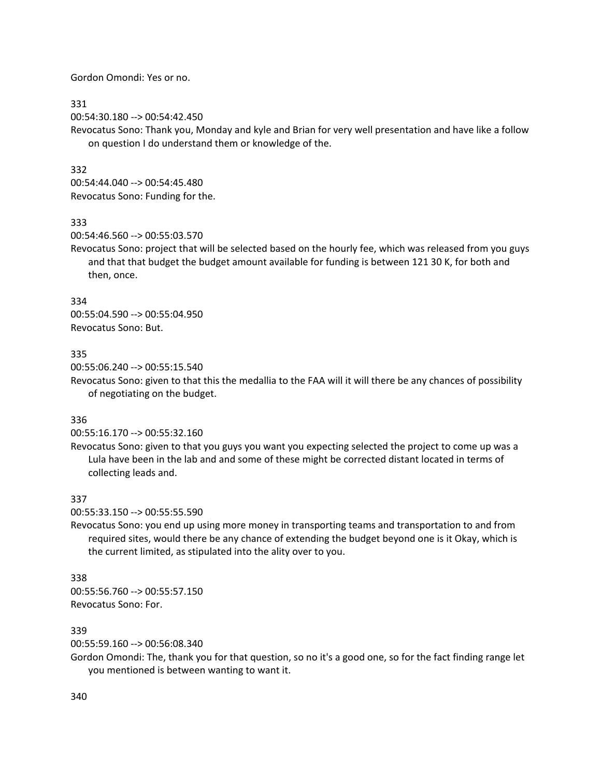Gordon Omondi: Yes or no.

### 331

00:54:30.180 --> 00:54:42.450

Revocatus Sono: Thank you, Monday and kyle and Brian for very well presentation and have like a follow on question I do understand them or knowledge of the.

# 332

00:54:44.040 --> 00:54:45.480 Revocatus Sono: Funding for the.

### 333

00:54:46.560 --> 00:55:03.570

Revocatus Sono: project that will be selected based on the hourly fee, which was released from you guys and that that budget the budget amount available for funding is between 121 30 K, for both and then, once.

## 334

00:55:04.590 --> 00:55:04.950 Revocatus Sono: But.

## 335

00:55:06.240 --> 00:55:15.540

Revocatus Sono: given to that this the medallia to the FAA will it will there be any chances of possibility of negotiating on the budget.

### 336

00:55:16.170 --> 00:55:32.160

Revocatus Sono: given to that you guys you want you expecting selected the project to come up was a Lula have been in the lab and and some of these might be corrected distant located in terms of collecting leads and.

### 337

00:55:33.150 --> 00:55:55.590

Revocatus Sono: you end up using more money in transporting teams and transportation to and from required sites, would there be any chance of extending the budget beyond one is it Okay, which is the current limited, as stipulated into the ality over to you.

### 338

00:55:56.760 --> 00:55:57.150 Revocatus Sono: For.

### 339

00:55:59.160 --> 00:56:08.340

Gordon Omondi: The, thank you for that question, so no it's a good one, so for the fact finding range let you mentioned is between wanting to want it.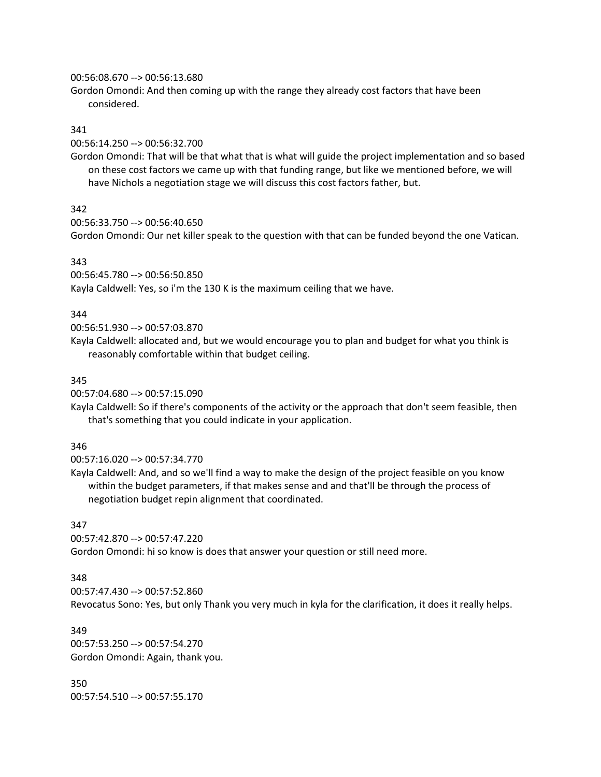#### 00:56:08.670 --> 00:56:13.680

Gordon Omondi: And then coming up with the range they already cost factors that have been considered.

### 341

00:56:14.250 --> 00:56:32.700

Gordon Omondi: That will be that what that is what will guide the project implementation and so based on these cost factors we came up with that funding range, but like we mentioned before, we will have Nichols a negotiation stage we will discuss this cost factors father, but.

## 342

```
00:56:33.750 --> 00:56:40.650
```
Gordon Omondi: Our net killer speak to the question with that can be funded beyond the one Vatican.

## 343

00:56:45.780 --> 00:56:50.850 Kayla Caldwell: Yes, so i'm the 130 K is the maximum ceiling that we have.

### 344

00:56:51.930 --> 00:57:03.870

Kayla Caldwell: allocated and, but we would encourage you to plan and budget for what you think is reasonably comfortable within that budget ceiling.

### 345

00:57:04.680 --> 00:57:15.090

Kayla Caldwell: So if there's components of the activity or the approach that don't seem feasible, then that's something that you could indicate in your application.

### 346

00:57:16.020 --> 00:57:34.770

Kayla Caldwell: And, and so we'll find a way to make the design of the project feasible on you know within the budget parameters, if that makes sense and and that'll be through the process of negotiation budget repin alignment that coordinated.

### 347

00:57:42.870 --> 00:57:47.220

Gordon Omondi: hi so know is does that answer your question or still need more.

### 348

00:57:47.430 --> 00:57:52.860

Revocatus Sono: Yes, but only Thank you very much in kyla for the clarification, it does it really helps.

349 00:57:53.250 --> 00:57:54.270 Gordon Omondi: Again, thank you.

350 00:57:54.510 --> 00:57:55.170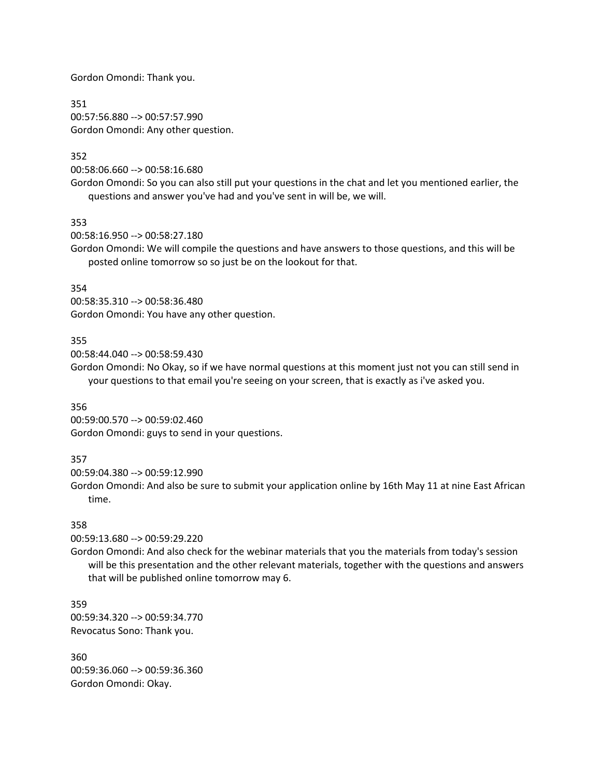Gordon Omondi: Thank you.

351 00:57:56.880 --> 00:57:57.990 Gordon Omondi: Any other question.

### 352

00:58:06.660 --> 00:58:16.680

Gordon Omondi: So you can also still put your questions in the chat and let you mentioned earlier, the questions and answer you've had and you've sent in will be, we will.

353

00:58:16.950 --> 00:58:27.180

Gordon Omondi: We will compile the questions and have answers to those questions, and this will be posted online tomorrow so so just be on the lookout for that.

354

00:58:35.310 --> 00:58:36.480 Gordon Omondi: You have any other question.

## 355

00:58:44.040 --> 00:58:59.430

Gordon Omondi: No Okay, so if we have normal questions at this moment just not you can still send in your questions to that email you're seeing on your screen, that is exactly as i've asked you.

### 356

00:59:00.570 --> 00:59:02.460 Gordon Omondi: guys to send in your questions.

### 357

00:59:04.380 --> 00:59:12.990

Gordon Omondi: And also be sure to submit your application online by 16th May 11 at nine East African time.

### 358

00:59:13.680 --> 00:59:29.220

Gordon Omondi: And also check for the webinar materials that you the materials from today's session will be this presentation and the other relevant materials, together with the questions and answers that will be published online tomorrow may 6.

359 00:59:34.320 --> 00:59:34.770 Revocatus Sono: Thank you.

360 00:59:36.060 --> 00:59:36.360 Gordon Omondi: Okay.